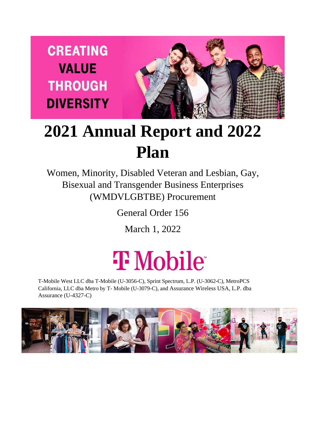**CREATING VALUE THROUGH DIVERSITY** 



## **2021 Annual Report and 2022 Plan**

Women, Minority, Disabled Veteran and Lesbian, Gay, Bisexual and Transgender Business Enterprises (WMDVLGBTBE) Procurement

General Order 156

March 1, 2022

# **T** Mobile

T-Mobile West LLC dba T-Mobile (U-3056-C), Sprint Spectrum, L.P. (U-3062-C), MetroPCS California, LLC dba Metro by T- Mobile (U-3079-C), and Assurance Wireless USA, L.P. dba Assurance (U-4327-C)

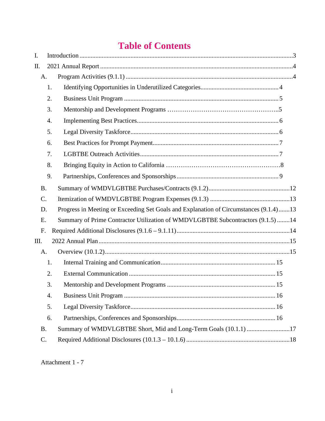## **Table of Contents**

| I.              |                  |                                                                                       |
|-----------------|------------------|---------------------------------------------------------------------------------------|
| Π.              |                  |                                                                                       |
| A.              |                  |                                                                                       |
|                 | 1.               |                                                                                       |
|                 | 2.               |                                                                                       |
|                 | 3.               |                                                                                       |
|                 | $\overline{4}$ . |                                                                                       |
|                 | 5.               |                                                                                       |
|                 | 6.               |                                                                                       |
|                 | 7.               |                                                                                       |
|                 | 8.               |                                                                                       |
|                 | 9.               |                                                                                       |
| <b>B.</b>       |                  |                                                                                       |
| $\mathcal{C}$ . |                  |                                                                                       |
| D.              |                  | Progress in Meeting or Exceeding Set Goals and Explanation of Circumstances (9.1.4)13 |
| E.              |                  | Summary of Prime Contractor Utilization of WMDVLGBTBE Subcontractors (9.1.5) 14       |
| F.              |                  |                                                                                       |
| III.            |                  |                                                                                       |
| A.              |                  |                                                                                       |
|                 | 1.               |                                                                                       |
|                 | 2.               |                                                                                       |
|                 | 3.               |                                                                                       |
|                 | 4.               |                                                                                       |
|                 | 5.               |                                                                                       |
|                 | 6.               |                                                                                       |
| <b>B.</b>       |                  | Summary of WMDVLGBTBE Short, Mid and Long-Term Goals (10.1.1) 17                      |
| C.              |                  |                                                                                       |

Attachment 1 - 7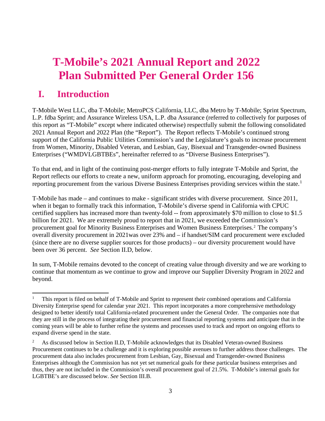## **T-Mobile's 2021 Annual Report and 2022 Plan Submitted Per General Order 156**

### **I. Introduction**

T-Mobile West LLC, dba T-Mobile; MetroPCS California, LLC, dba Metro by T-Mobile; Sprint Spectrum, L.P. fdba Sprint; and Assurance Wireless USA, L.P. dba Assurance (referred to collectively for purposes of this report as "T-Mobile" except where indicated otherwise) respectfully submit the following consolidated 2021 Annual Report and 2022 Plan (the "Report"). The Report reflects T-Mobile's continued strong support of the California Public Utilities Commission's and the Legislature's goals to increase procurement from Women, Minority, Disabled Veteran, and Lesbian, Gay, Bisexual and Transgender-owned Business Enterprises ("WMDVLGBTBEs", hereinafter referred to as "Diverse Business Enterprises").

To that end, and in light of the continuing post-merger efforts to fully integrate T-Mobile and Sprint, the Report reflects our efforts to create a new, uniform approach for promoting, encouraging, developing and reporting procurement from the various Diverse Business Enterprises providing services within the state.<sup>[1](#page-2-0)</sup>

T-Mobile has made – and continues to make - significant strides with diverse procurement. Since 2011, when it began to formally track this information, T-Mobile's diverse spend in California with CPUC certified suppliers has increased more than twenty-fold -- from approximately \$70 million to close to \$1.5 billion for 2021. We are extremely proud to report that in 2021, we exceeded the Commission's procurement goal for Minority Business Enterprises and Women Business Enterprises.<sup>2</sup> The company's overall diversity procurement in 2021was over 23% and – if handset/SIM card procurement were excluded (since there are no diverse supplier sources for those products) – our diversity procurement would have been over 36 percent. *See* Section II.D, below.

In sum, T-Mobile remains devoted to the concept of creating value through diversity and we are working to continue that momentum as we continue to grow and improve our Supplier Diversity Program in 2022 and beyond.

<span id="page-2-0"></span><sup>1</sup> This report is filed on behalf of T-Mobile and Sprint to represent their combined operations and California Diversity Enterprise spend for calendar year 2021. This report incorporates a more comprehensive methodology designed to better identify total California-related procurement under the General Order. The companies note that they are still in the process of integrating their procurement and financial reporting systems and anticipate that in the coming years will be able to further refine the systems and processes used to track and report on ongoing efforts to expand diverse spend in the state.

<span id="page-2-1"></span><sup>2</sup> As discussed below in Section II.D, T-Mobile acknowledges that its Disabled Veteran-owned Business Procurement continues to be a challenge and it is exploring possible avenues to further address those challenges. The procurement data also includes procurement from Lesbian, Gay, Bisexual and Transgender-owned Business Enterprises although the Commission has not yet set numerical goals for these particular business enterprises and thus, they are not included in the Commission's overall procurement goal of 21.5%. T-Mobile's internal goals for LGBTBE's are discussed below. *See* Section III.B.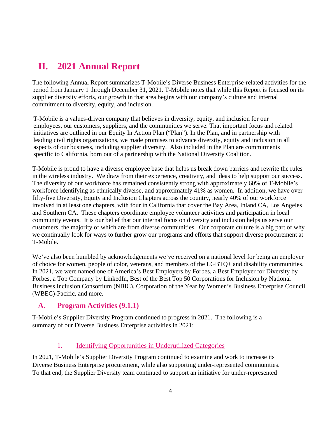## <span id="page-3-0"></span>**II. 2021 Annual Report**

The following Annual Report summarizes T-Mobile's Diverse Business Enterprise-related activities for the period from January 1 through December 31, 2021. T-Mobile notes that while this Report is focused on its supplier diversity efforts, our growth in that area begins with our company's culture and internal commitment to diversity, equity, and inclusion.

T-Mobile is a values-driven company that believes in diversity, equity, and inclusion for our employees, our customers, suppliers, and the communities we serve. That important focus and related initiatives are outlined in our Equity In Action Plan ("Plan"). In the Plan, and in partnership with leading civil rights organizations, we made promises to advance diversity, equity and inclusion in all aspects of our business, including supplier diversity. Also included in the Plan are commitments specific to California, born out of a partnership with the National Diversity Coalition.

T-Mobile is proud to have a diverse employee base that helps us break down barriers and rewrite the rules in the wireless industry. We draw from their experience, creativity, and ideas to help support our success. The diversity of our workforce has remained consistently strong with approximately 60% of T-Mobile's workforce identifying as ethnically diverse, and approximately 41% as women. In addition, we have over fifty-five Diversity, Equity and Inclusion Chapters across the country, nearly 40% of our workforce involved in at least one chapters, with four in California that cover the Bay Area, Inland CA, Los Angeles and Southern CA. These chapters coordinate employee volunteer activities and participation in local community events. It is our belief that our internal focus on diversity and inclusion helps us serve our customers, the majority of which are from diverse communities. Our corporate culture is a big part of why we continually look for ways to further grow our programs and efforts that support diverse procurement at T-Mobile.

We've also been humbled by acknowledgements we've received on a national level for being an employer of choice for women, people of color, veterans, and members of the LGBTQ+ and disability communities. In 2021, we were named one of America's Best Employers by Forbes, a Best Employer for Diversity by Forbes, a Top Company by LinkedIn, Best of the Best Top 50 Corporations for Inclusion by National Business Inclusion Consortium (NBIC), Corporation of the Year by Women's Business Enterprise Council (WBEC)-Pacific, and more.

#### <span id="page-3-1"></span>**A. Program Activities (9.1.1)**

T-Mobile's Supplier Diversity Program continued to progress in 2021. The following is a summary of our Diverse Business Enterprise activities in 2021:

#### 1. Identifying Opportunities in Underutilized Categories

<span id="page-3-2"></span>In 2021, T-Mobile's Supplier Diversity Program continued to examine and work to increase its Diverse Business Enterprise procurement, while also supporting under-represented communities. To that end, the Supplier Diversity team continued to support an initiative for under-represented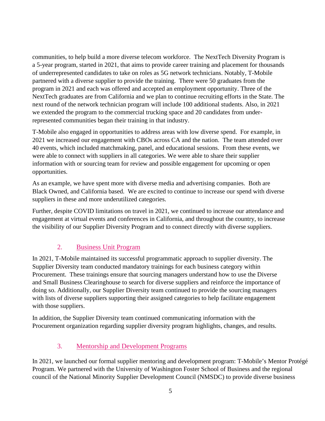communities, to help build a more diverse telecom workforce. The NextTech Diversity Program is a 5-year program, started in 2021, that aims to provide career training and placement for thousands of underrepresented candidates to take on roles as 5G network technicians. Notably, T-Mobile partnered with a diverse supplier to provide the training. There were 50 graduates from the program in 2021 and each was offered and accepted an employment opportunity. Three of the NextTech graduates are from California and we plan to continue recruiting efforts in the State. The next round of the network technician program will include 100 additional students. Also, in 2021 we extended the program to the commercial trucking space and 20 candidates from underrepresented communities began their training in that industry.

T-Mobile also engaged in opportunities to address areas with low diverse spend. For example, in 2021 we increased our engagement with CBOs across CA and the nation. The team attended over 40 events, which included matchmaking, panel, and educational sessions. From these events, we were able to connect with suppliers in all categories. We were able to share their supplier information with or sourcing team for review and possible engagement for upcoming or open opportunities.

As an example, we have spent more with diverse media and advertising companies. Both are Black Owned, and California based. We are excited to continue to increase our spend with diverse suppliers in these and more underutilized categories.

Further, despite COVID limitations on travel in 2021, we continued to increase our attendance and engagement at virtual events and conferences in California, and throughout the country, to increase the visibility of our Supplier Diversity Program and to connect directly with diverse suppliers.

#### 2. Business Unit Program

<span id="page-4-0"></span>In 2021, T-Mobile maintained its successful programmatic approach to supplier diversity. The Supplier Diversity team conducted mandatory trainings for each business category within Procurement. These trainings ensure that sourcing managers understand how to use the Diverse and Small Business Clearinghouse to search for diverse suppliers and reinforce the importance of doing so. Additionally, our Supplier Diversity team continued to provide the sourcing managers with lists of diverse suppliers supporting their assigned categories to help facilitate engagement with those suppliers.

In addition, the Supplier Diversity team continued communicating information with the Procurement organization regarding supplier diversity program highlights, changes, and results.

#### 3. Mentorship and Development Programs

In 2021, we launched our formal supplier mentoring and development program: T-Mobile's Mentor Protégé Program. We partnered with the University of Washington Foster School of Business and the regional council of the National Minority Supplier Development Council (NMSDC) to provide diverse business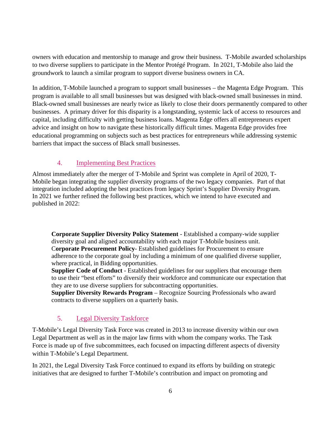owners with education and mentorship to manage and grow their business. T-Mobile awarded scholarships to two diverse suppliers to participate in the Mentor Protégé Program. In 2021, T-Mobile also laid the groundwork to launch a similar program to support diverse business owners in CA.

In addition, T-Mobile launched a program to support small businesses – the Magenta Edge Program. This program is available to all small businesses but was designed with black-owned small businesses in mind. Black-owned small businesses are nearly twice as likely to close their doors permanently compared to other businesses. A primary driver for this disparity is a longstanding, systemic lack of access to resources and capital, including difficulty with getting business loans. Magenta Edge offers all entrepreneurs expert advice and insight on how to navigate these historically difficult times. Magenta Edge provides free educational programming on subjects such as best practices for entrepreneurs while addressing systemic barriers that impact the success of Black small busi[nesses.](https://events.tfb.t-mobile.com/MagentaEdge?icid=TFB_TMO_P_TFBMGTAEDG_BKNKHKTFUHFODOSMR23410&utm_content=WrkshpHub&utm_medium=PR&utm_source=PR&utm_campaign=TFBMGTAEDG) 

#### 4. Implementing Best Practices

<span id="page-5-0"></span>Almost immediately after the merger of T-Mobile and Sprint was complete in April of 2020, T-Mobile began integrating the supplier diversity programs of the two legacy companies. Part of that integration included adopting the best practices from legacy Sprint's Supplier Diversity Program. In 2021 we further refined the following best practices, which we intend to have executed and published in 2022:

**Corporate Supplier Diversity Policy Statement** - Established a company-wide supplier diversity goal and aligned accountability with each major T-Mobile business unit. C**orporate Procurement Policy**- Established guidelines for Procurement to ensure adherence to the corporate goal by including a minimum of one qualified diverse supplier, where practical, in Bidding opportunities.

**Supplier Code of Conduct** - Established guidelines for our suppliers that encourage them to use their "best efforts" to diversify their workforce and communicate our expectation that they are to use diverse suppliers for subcontracting opportunities.

**Supplier Diversity Rewards Program** – Recognize Sourcing Professionals who award contracts to diverse suppliers on a quarterly basis.

#### 5. Legal Diversity Taskforce

<span id="page-5-1"></span>T-Mobile's Legal Diversity Task Force was created in 2013 to increase diversity within our own Legal Department as well as in the major law firms with whom the company works. The Task Force is made up of five subcommittees, each focused on impacting different aspects of diversity within T-Mobile's Legal Department.

In 2021, the Legal Diversity Task Force continued to expand its efforts by building on strategic initiatives that are designed to further T-Mobile's contribution and impact on promoting and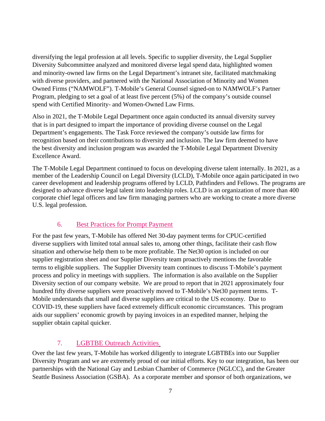diversifying the legal profession at all levels. Specific to supplier diversity, the Legal Supplier Diversity Subcommittee analyzed and monitored diverse legal spend data, highlighted women and minority-owned law firms on the Legal Department's intranet site, facilitated matchmaking with diverse providers, and partnered with the National Association of Minority and Women Owned Firms ("NAMWOLF"). T-Mobile's General Counsel signed-on to NAMWOLF's Partner Program, pledging to set a goal of at least five percent (5%) of the company's outside counsel spend with Certified Minority- and Women-Owned Law Firms.

Also in 2021, the T-Mobile Legal Department once again conducted its annual diversity survey that is in part designed to impart the importance of providing diverse counsel on the Legal Department's engagements. The Task Force reviewed the company's outside law firms for recognition based on their contributions to diversity and inclusion. The law firm deemed to have the best diversity and inclusion program was awarded the T-Mobile Legal Department Diversity Excellence Award.

The T-Mobile Legal Department continued to focus on developing diverse talent internally. In 2021, as a member of the Leadership Council on Legal Diversity (LCLD), T-Mobile once again participated in two career development and leadership programs offered by LCLD, Pathfinders and Fellows. The programs are designed to advance diverse legal talent into leadership roles. LCLD is an organization of more than 400 corporate chief legal officers and law firm managing partners who are working to create a more diverse U.S. legal profession.

#### <span id="page-6-0"></span>6. Best Practices for Prompt Payment

For the past few years, T-Mobile has offered Net 30-day payment terms for CPUC-certified diverse suppliers with limited total annual sales to, among other things, facilitate their cash flow situation and otherwise help them to be more profitable. The Net30 option is included on our supplier registration sheet and our Supplier Diversity team proactively mentions the favorable terms to eligible suppliers. The Supplier Diversity team continues to discuss T-Mobile's payment process and policy in meetings with suppliers. The information is also available on the Supplier Diversity section of our company website. We are proud to report that in 2021 approximately four hundred fifty diverse suppliers were proactively moved to T-Mobile's Net30 payment terms. T-Mobile understands that small and diverse suppliers are critical to the US economy. Due to COVID-19, these suppliers have faced extremely difficult economic circumstances. This program aids our suppliers' economic growth by paying invoices in an expedited manner, helping the supplier obtain capital quicker.

#### 7. LGBTBE Outreach Activities

<span id="page-6-1"></span>Over the last few years, T-Mobile has worked diligently to integrate LGBTBEs into our Supplier Diversity Program and we are extremely proud of our initial efforts. Key to our integration, has been our partnerships with the National Gay and Lesbian Chamber of Commerce (NGLCC), and the Greater Seattle Business Association (GSBA). As a corporate member and sponsor of both organizations, we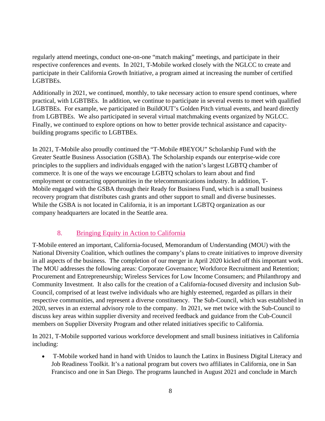regularly attend meetings, conduct one-on-one "match making" meetings, and participate in their respective conferences and events. In 2021, T-Mobile worked closely with the NGLCC to create and participate in their California Growth Initiative, a program aimed at increasing the number of certified LGBTBEs.

Additionally in 2021, we continued, monthly, to take necessary action to ensure spend continues, where practical, with LGBTBEs. In addition, we continue to participate in several events to meet with qualified LGBTBEs. For example, we participated in BuildOUT's Golden Pitch virtual events, and heard directly from LGBTBEs. We also participated in several virtual matchmaking events organized by NGLCC. Finally, we continued to explore options on how to better provide technical assistance and capacitybuilding programs specific to LGBTBEs.

In 2021, T-Mobile also proudly continued the "T-Mobile #BEYOU" Scholarship Fund with the Greater Seattle Business Association (GSBA). The Scholarship expands our enterprise-wide core principles to the suppliers and individuals engaged with the nation's largest LGBTQ chamber of commerce. It is one of the ways we encourage LGBTQ scholars to learn about and find employment or contracting opportunities in the telecommunications industry. In addition, T-Mobile engaged with the GSBA through their Ready for Business Fund, which is a small business recovery program that distributes cash grants and other support to small and diverse businesses. While the GSBA is not located in California, it is an important LGBTQ organization as our company headquarters are located in the Seattle area.

#### 8. Bringing Equity in Action to California

T-Mobile entered an important, California-focused, Memorandum of Understanding (MOU) with the National Diversity Coalition, which outlines the company's plans to create initiatives to improve diversity in all aspects of the business. The completion of our merger in April 2020 kicked off this important work. The MOU addresses the following areas: Corporate Governance; Workforce Recruitment and Retention; Procurement and Entrepreneurship; Wireless Services for Low Income Consumers; and Philanthropy and Community Investment. It also calls for the creation of a California-focused diversity and inclusion Sub-Council, comprised of at least twelve individuals who are highly esteemed, regarded as pillars in their respective communities, and represent a diverse constituency. The Sub-Council, which was established in 2020, serves in an external advisory role to the company. In 2021, we met twice with the Sub-Council to discuss key areas within supplier diversity and received feedback and guidance from the Cub-Council members on Supplier Diversity Program and other related initiatives specific to California.

In 2021, T-Mobile supported various workforce development and small business initiatives in California including:

• T-Mobile worked hand in hand with Unidos to launch the Latinx in Business Digital Literacy and Job Readiness Toolkit. It's a national program but covers two affiliates in California, one in San Francisco and one in San Diego. The programs launched in August 2021 and conclude in March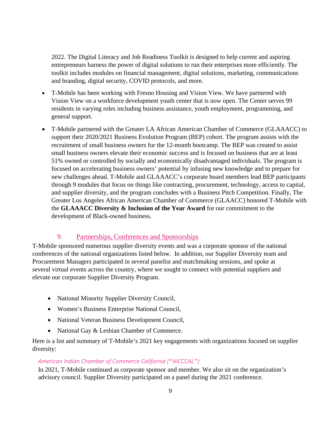2022. The Digital Literacy and Job Readiness Toolkit is designed to help current and aspiring entrepreneurs harness the power of digital solutions to run their enterprises more efficiently. The toolkit includes modules on financial management, digital solutions, marketing, communications and branding, digital security, COVID protocols, and more.

- T-Mobile has been working with Fresno Housing and Vision View. We have partnered with Vision View on a workforce development youth center that is now open. The Center serves 99 residents in varying roles including business assistance, youth employment, programming, and general support.
- T-Mobile partnered with the Greater LA African American Chamber of Commerce (GLAAACC) to support their 2020/2021 Business Evolution Program (BEP) cohort. The program assists with the recruitment of small business owners for the 12-month bootcamp. The BEP was created to assist small business owners elevate their economic success and is focused on business that are at least 51% owned or controlled by socially and economically disadvantaged individuals. The program is focused on accelerating business owners' potential by infusing new knowledge and to prepare for new challenges ahead. T-Mobile and GLAAACC's corporate board members lead BEP participants through 9 modules that focus on things like contracting, procurement, technology, access to capital, and supplier diversity, and the program concludes with a Business Pitch Competition. Finally, The Greater Los Angeles African American Chamber of Commerce (GLAACC) honored T-Mobile with the **GLAAACC Diversity & Inclusion of the Year Award** for our commitment to the development of Black-owned business.

#### 9. Partnerships, Conferences and Sponsorships

<span id="page-8-0"></span>T-Mobile sponsored numerous supplier diversity events and was a corporate sponsor of the national conferences of the national organizations listed below. In addition, our Supplier Diversity team and Procurement Managers participated in several panelist and matchmaking sessions, and spoke at several virtual events across the country, where we sought to connect with potential suppliers and elevate our corporate Supplier Diversity Program.

- National Minority Supplier Diversity Council,
- Women's Business Enterprise National Council,
- National Veteran Business Development Council,
- National Gay & Lesbian Chamber of Commerce.

Here is a list and summary of T-Mobile's 2021 key engagements with organizations focused on supplier diversity:

#### *American Indian Chamber of Commerce California ("AICCCAL")*

In 2021, T-Mobile continued as corporate sponsor and member. We also sit on the organization's advisory council. Supplier Diversity participated on a panel during the 2021 conference.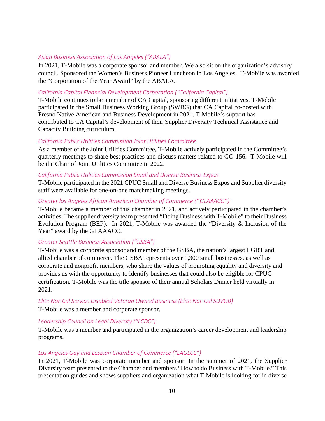#### *Asian Business Association of Los Angeles ("ABALA")*

In 2021, T-Mobile was a corporate sponsor and member. We also sit on the organization's advisory council. Sponsored the Women's Business Pioneer Luncheon in Los Angeles. T-Mobile was awarded the "Corporation of the Year Award" by the ABALA.

#### *California Capital Financial Development Corporation ("California Capital")*

T-Mobile continues to be a member of CA Capital, sponsoring different initiatives. T-Mobile participated in the Small Business Working Group (SWBG) that CA Capital co-hosted with Fresno Native American and Business Development in 2021. T-Mobile's support has contributed to CA Capital's development of their Supplier Diversity Technical Assistance and Capacity Building curriculum.

#### *California Public Utilities Commission Joint Utilities Committee*

As a member of the Joint Utilities Committee, T-Mobile actively participated in the Committee's quarterly meetings to share best practices and discuss matters related to GO-156. T-Mobile will be the Chair of Joint Utilities Committee in 2022.

#### *California Public Utilities Commission Small and Diverse Business Expos*

T-Mobile participated in the 2021 CPUC Small and Diverse Business Expos and Supplier diversity staff were available for one-on-one matchmaking meetings.

#### *Greater los Angeles African American Chamber of Commerce ("GLAAACC")*

T-Mobile became a member of this chamber in 2021, and actively participated in the chamber's activities. The supplier diversity team presented "Doing Business with T-Mobile" to their Business Evolution Program (BEP). In 2021, T-Mobile was awarded the "Diversity & Inclusion of the Year" award by the GLAAACC.

#### *Greater Seattle Business Association ("GSBA")*

T-Mobile was a corporate sponsor and member of the GSBA, the nation's largest LGBT and allied chamber of commerce. The GSBA represents over 1,300 small businesses, as well as corporate and nonprofit members, who share the values of promoting equality and diversity and provides us with the opportunity to identify businesses that could also be eligible for CPUC certification. T-Mobile was the title sponsor of their annual Scholars Dinner held virtually in 2021.

#### *Elite Nor-Cal Service Disabled Veteran Owned Business (Elite Nor-Cal SDVOB)*

T-Mobile was a member and corporate sponsor.

#### *Leadership Council on Legal Diversity ("LCDC")*

T-Mobile was a member and participated in the organization's career development and leadership programs.

#### *Los Angeles Gay and Lesbian Chamber of Commerce ("LAGLCC")*

In 2021, T-Mobile was corporate member and sponsor. In the summer of 2021, the Supplier Diversity team presented to the Chamber and members "How to do Business with T-Mobile." This presentation guides and shows suppliers and organization what T-Mobile is looking for in diverse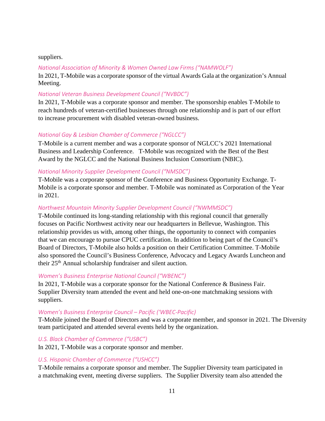#### suppliers.

#### *National Association of Minority & Women Owned Law Firms ("NAMWOLF")*

In 2021, T-Mobile was a corporate sponsor of the virtual Awards Gala at the organization's Annual Meeting.

#### *National Veteran Business Development Council ("NVBDC")*

In 2021, T-Mobile was a corporate sponsor and member. The sponsorship enables T-Mobile to reach hundreds of veteran-certified businesses through one relationship and is part of our effort to increase procurement with disabled veteran-owned business.

#### *National Gay & Lesbian Chamber of Commerce ("NGLCC")*

T-Mobile is a current member and was a corporate sponsor of NGLCC's 2021 International Business and Leadership Conference. T-Mobile was recognized with the Best of the Best Award by the NGLCC and the National Business Inclusion Consortium (NBIC).

#### *National Minority Supplier Development Council ("NMSDC")*

T-Mobile was a corporate sponsor of the Conference and Business Opportunity Exchange. T-Mobile is a corporate sponsor and member. T-Mobile was nominated as Corporation of the Year in 2021.

#### *Northwest Mountain Minority Supplier Development Council ("NWMMSDC")*

T-Mobile continued its long-standing relationship with this regional council that generally focuses on Pacific Northwest activity near our headquarters in Bellevue, Washington. This relationship provides us with, among other things, the opportunity to connect with companies that we can encourage to pursue CPUC certification. In addition to being part of the Council's Board of Directors, T-Mobile also holds a position on their Certification Committee. T-Mobile also sponsored the Council's Business Conference, Advocacy and Legacy Awards Luncheon and their 25th Annual scholarship fundraiser and silent auction.

#### *Women's Business Enterprise National Council ("WBENC")*

In 2021, T-Mobile was a corporate sponsor for the National Conference & Business Fair. Supplier Diversity team attended the event and held one-on-one matchmaking sessions with suppliers.

#### *Women's Business Enterprise Council – Pacific ('WBEC-Pacific)*

T-Mobile joined the Board of Directors and was a corporate member, and sponsor in 2021. The Diversity team participated and attended several events held by the organization.

#### *U.S. Black Chamber of Commerce ("USBC")*

In 2021, T-Mobile was a corporate sponsor and member.

#### *U.S. Hispanic Chamber of Commerce ("USHCC")*

T-Mobile remains a corporate sponsor and member. The Supplier Diversity team participated in a matchmaking event, meeting diverse suppliers. The Supplier Diversity team also attended the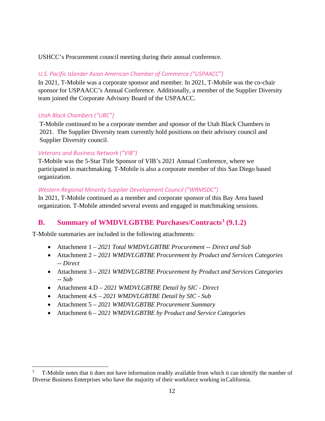USHCC's Procurement council meeting during their annual conference.

#### *U.S. Pacific Islander Asian American Chamber of Commerce ("USPAACC")*

In 2021, T-Mobile was a corporate sponsor and member. In 2021, T-Mobile was the co-chair sponsor for USPAACC's Annual Conference. Additionally, a member of the Supplier Diversity team joined the Corporate Advisory Board of the USPAACC.

#### *Utah Black Chambers ("UBC")*

T-Mobile continued to be a corporate member and sponsor of the Utah Black Chambers in 2021. The Supplier Diversity team currently hold positions on their advisory council and Supplier Diversity council.

#### *Veterans and Business Network ("VIB")*

T-Mobile was the 5-Star Title Sponsor of VIB's 2021 Annual Conference, where we participated in matchmaking. T-Mobile is also a corporate member of this San Diego based organization.

#### *Western Regional Minority Supplier Development Council ("WRMSDC")*

In 2021, T-Mobile continued as a member and corporate sponsor of this Bay Area based organization. T-Mobile attended several events and engaged in matchmaking sessions.

#### **B. Summary of WMDVLGBTBE Purchases/Contracts[3](#page-11-2) (9.1.2)**

T-Mobile summaries are included in the following attachments:

- <span id="page-11-0"></span>• Attachment 1 – *2021 Total WMDVLGBTBE Procurement -- Direct and Sub*
- Attachment 2 *2021 WMDVLGBTBE Procurement by Product and Services Categories -- Direct*
- Attachment 3 *2021 WMDVLGBTBE Procurement by Product and Services Categories -- Sub*
- Attachment 4.D *2021 WMDVLGBTBE Detail by SIC - Direct*
- Attachment 4.S *2021 WMDVLGBTBE Detail by SIC - Sub*
- Attachment 5 *2021 WMDVLGBTBE Procurement Summary*
- <span id="page-11-1"></span>• Attachment 6 *– 2021 WMDVLGBTBE by Product and Service Categories*

<span id="page-11-2"></span><sup>3</sup> T-Mobile notes that it does not have information readily available from which it can identify the number of Diverse Business Enterprises who have the majority of their workforce working inCalifornia.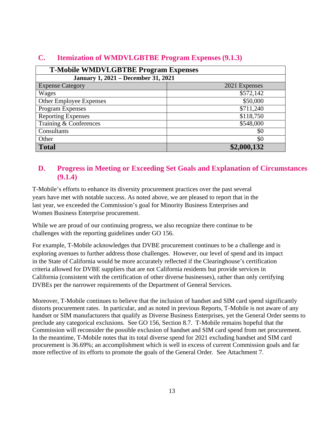| <b>T-Mobile WMDVLGBTBE Program Expenses</b> |               |  |  |  |  |  |  |  |  |
|---------------------------------------------|---------------|--|--|--|--|--|--|--|--|
| <b>January 1, 2021 - December 31, 2021</b>  |               |  |  |  |  |  |  |  |  |
| <b>Expense Category</b>                     | 2021 Expenses |  |  |  |  |  |  |  |  |
| Wages                                       | \$572,142     |  |  |  |  |  |  |  |  |
| Other Employee Expenses                     | \$50,000      |  |  |  |  |  |  |  |  |
| Program Expenses                            | \$711,240     |  |  |  |  |  |  |  |  |
| <b>Reporting Expenses</b>                   | \$118,750     |  |  |  |  |  |  |  |  |
| Training & Conferences                      | \$548,000     |  |  |  |  |  |  |  |  |
| Consultants                                 | \$0           |  |  |  |  |  |  |  |  |
| Other                                       | \$0           |  |  |  |  |  |  |  |  |
| <b>Total</b>                                | \$2,000,132   |  |  |  |  |  |  |  |  |

#### **C. Itemization of WMDVLGBTBE Program Expenses (9.1.3)**

#### <span id="page-12-0"></span>**D. Progress in Meeting or Exceeding Set Goals and Explanation of Circumstances (9.1.4)**

T-Mobile's efforts to enhance its diversity procurement practices over the past several years have met with notable success. As noted above, we are pleased to report that in the last year, we exceeded the Commission's goal for Minority Business Enterprises and Women Business Enterprise procurement.

While we are proud of our continuing progress, we also recognize there continue to be challenges with the reporting guidelines under GO 156.

For example, T-Mobile acknowledges that DVBE procurement continues to be a challenge and is exploring avenues to further address those challenges. However, our level of spend and its impact in the State of California would be more accurately reflected if the Clearinghouse's certification criteria allowed for DVBE suppliers that are not California residents but provide services in California (consistent with the certification of other diverse businesses), rather than only certifying DVBEs per the narrower requirements of the Department of General Services.

<span id="page-12-1"></span>Moreover, T-Mobile continues to believe that the inclusion of handset and SIM card spend significantly distorts procurement rates. In particular, and as noted in previous Reports, T-Mobile is not aware of any handset or SIM manufacturers that qualify as Diverse Business Enterprises, yet the General Order seems to preclude any categorical exclusions. See GO 156, Section 8.7. T-Mobile remains hopeful that the Commission will reconsider the possible exclusion of handset and SIM card spend from net procurement. In the meantime, T-Mobile notes that its total diverse spend for 2021 excluding handset and SIM card procurement is 36.69%; an accomplishment which is well in excess of current Commission goals and far more reflective of its efforts to promote the goals of the General Order. See Attachment 7.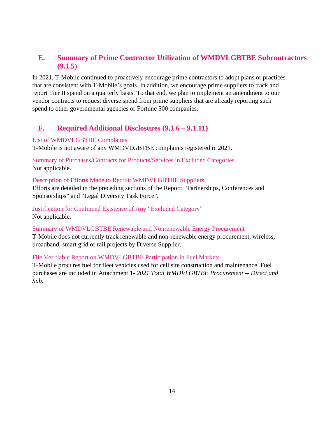#### **E. Summary of Prime Contractor Utilization of WMDVLGBTBE Subcontractors (9.1.5)**

In 2021, T-Mobile continued to proactively encourage prime contractors to adopt plans or practices that are consistent with T-Mobile's goals. In addition, we encourage prime suppliers to track and report Tier II spend on a quarterly basis. To that end, we plan to implement an amendment to our vendor contracts to request diverse spend from prime suppliers that are already reporting such spend to other governmental agencies or Fortune 500 companies.

#### <span id="page-13-0"></span>**F. Required Additional Disclosures (9.1.6 – 9.1.11)**

#### List of WMDVLGBTBE Complaints

T-Mobile is not aware of any WMDVLGBTBE complaints registered in 2021.

Summary of Purchases/Contracts for Products/Services in Excluded Categories Not applicable.

#### Description of Efforts Made to Recruit WMDVLGBTBE Suppliers

Efforts are detailed in the preceding sections of the Report: "Partnerships, Conferences and Sponsorships" and "Legal Diversity Task Force".

Justification for Continued Existence of Any "Excluded Category" Not applicable.

Summary of WMDVLGBTBE Renewable and Nonrenewable Energy Procurement T-Mobile does not currently track renewable and non-renewable energy procurement, wireless, broadband, smart grid or rail projects by Diverse Supplier.

#### File Verifiable Report on WMDVLGBTBE Participation in Fuel Markets

T-Mobile procures fuel for fleet vehicles used for cell site construction and maintenance. Fuel purchases are included in Attachment 1- *2021 Total WMDVLGBTBE Procurement -- Direct and Sub.*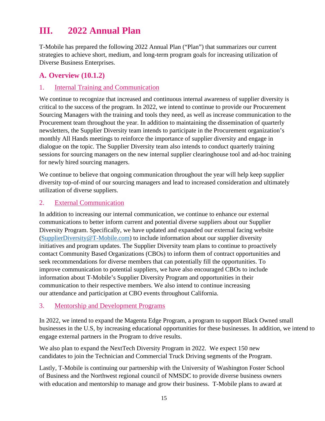## **III. 2022 Annual Plan**

T-Mobile has prepared the following 2022 Annual Plan ("Plan") that summarizes our current strategies to achieve short, medium, and long-term program goals for increasing utilization of Diverse Business Enterprises.

#### <span id="page-14-0"></span>**A. Overview (10.1.2)**

#### <span id="page-14-1"></span>1. Internal Training and Communication

We continue to recognize that increased and continuous internal awareness of supplier diversity is critical to the success of the program. In 2022, we intend to continue to provide our Procurement Sourcing Managers with the training and tools they need, as well as increase communication to the Procurement team throughout the year. In addition to maintaining the dissemination of quarterly newsletters, the Supplier Diversity team intends to participate in the Procurement organization's monthly All Hands meetings to reinforce the importance of supplier diversity and engage in dialogue on the topic. The Supplier Diversity team also intends to conduct quarterly training sessions for sourcing managers on the new internal supplier clearinghouse tool and ad-hoc training for newly hired sourcing managers.

We continue to believe that ongoing communication throughout the year will help keep supplier diversity top-of-mind of our sourcing managers and lead to increased consideration and ultimately utilization of diverse suppliers.

#### <span id="page-14-2"></span>2. External Communication

In addition to increasing our internal communication, we continue to enhance our external communications to better inform current and potential diverse suppliers about our Supplier Diversity Program. Specifically, we have updated and expanded our external facing website (SupplierDiversity@T-Mobile.com) to include information about our supplier diversity [initiatives and program updates. The S](mailto:SupplierDiversity@T-Mobile.com)upplier Diversity team plans to continue to proactively contact Community Based Organizations (CBOs) to inform them of contract opportunities and seek recommendations for diverse members that can potentially fill the opportunities. To improve communication to potential suppliers, we have also encouraged CBOs to include information about T-Mobile's Supplier Diversity Program and opportunities in their communication to their respective members. We also intend to continue increasing our attendance and participation at CBO events throughout California.

#### <span id="page-14-3"></span>3. Mentorship and Development Programs

In 2022, we intend to expand the Magenta Edge Program, a program to support Black Owned small businesses in the U.S, by increasing educational opportunities for these businesses. In addition, we intend to engage external partners in the Program to drive results.

We also plan to expand the NextTech Diversity Program in 2022. We expect 150 new candidates to join the Technician and Commercial Truck Driving segments of the Program.

Lastly, T-Mobile is continuing our partnership with the University of Washington Foster School of Business and the Northwest regional council of NMSDC to provide diverse business owners with education and mentorship to manage and grow their business. T-Mobile plans to award at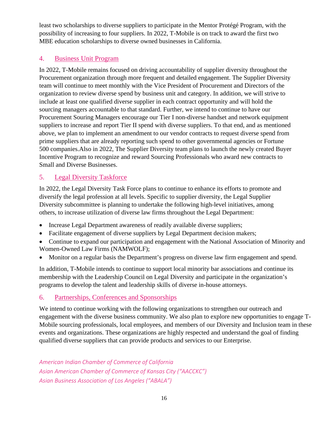least two scholarships to diverse suppliers to participate in the Mentor Protégé Program, with the possibility of increasing to four suppliers. In 2022, T-Mobile is on track to award the first two MBE education scholarships to diverse owned businesses in California.

#### <span id="page-15-0"></span>4. Business Unit Program

In 2022, T-Mobile remains focused on driving accountability of supplier diversity throughout the Procurement organization through more frequent and detailed engagement. The Supplier Diversity team will continue to meet monthly with the Vice President of Procurement and Directors of the organization to review diverse spend by business unit and category. In addition, we will strive to include at least one qualified diverse supplier in each contract opportunity and will hold the sourcing managers accountable to that standard. Further, we intend to continue to have our Procurement Souring Managers encourage our Tier I non-diverse handset and network equipment suppliers to increase and report Tier II spend with diverse suppliers. To that end, and as mentioned above, we plan to implement an amendment to our vendor contracts to request diverse spend from prime suppliers that are already reporting such spend to other governmental agencies or Fortune 500 companies.Also in 2022, The Supplier Diversity team plans to launch the newly created Buyer Incentive Program to recognize and reward Sourcing Professionals who award new contracts to Small and Diverse Businesses.

#### <span id="page-15-1"></span>5. Legal Diversity Taskforce

In 2022, the Legal Diversity Task Force plans to continue to enhance its efforts to promote and diversify the legal profession at all levels. Specific to supplier diversity, the Legal Supplier Diversity subcommittee is planning to undertake the following high-level initiatives, among others, to increase utilization of diverse law firms throughout the Legal Department:

- Increase Legal Department awareness of readily available diverse suppliers;
- Facilitate engagement of diverse suppliers by Legal Department decision makers;
- Continue to expand our participation and engagement with the National Association of Minority and Women-Owned Law Firms (NAMWOLF);
- Monitor on a regular basis the Department's progress on diverse law firm engagement and spend.

In addition, T-Mobile intends to continue to support local minority bar associations and continue its membership with the Leadership Council on Legal Diversity and participate in the organization's programs to develop the talent and leadership skills of diverse in-house attorneys.

#### 6. Partnerships, Conferences and Sponsorships

We intend to continue working with the following organizations to strengthen our outreach and engagement with the diverse business community. We also plan to explore new opportunities to engage T-Mobile sourcing professionals, local employees, and members of our Diversity and Inclusion team in these events and organizations. These organizations are highly respected and understand the goal of finding qualified diverse suppliers that can provide products and services to our Enterprise.

*American Indian Chamber of Commerce of California Asian American Chamber of Commerce of Kansas City ("AACCKC") Asian Business Association of Los Angeles ("ABALA")*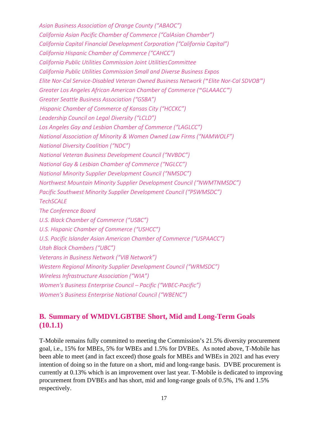*Asian Business Association of Orange County ("ABAOC") California Asian Pacific Chamber of Commerce ("CalAsian Chamber") California Capital Financial Development Corporation ("California Capital") California Hispanic Chamber of Commerce ("CAHCC") California Public Utilities Commission Joint UtilitiesCommittee California Public Utilities Commission Small and Diverse Business Expos Elite Nor-Cal Service-Disabled Veteran Owned Business Network ("Elite Nor-Cal SDVOB") Greater Los Angeles African American Chamber of Commerce ("GLAAACC") Greater Seattle Business Association ("GSBA") Hispanic Chamber of Commerce of Kansas City ("HCCKC") Leadership Council on Legal Diversity ("LCLD") Los Angeles Gay and Lesbian Chamber of Commerce ("LAGLCC") National Association of Minority & Women Owned Law Firms ("NAMWOLF") National Diversity Coalition ("NDC") National Veteran Business Development Council ("NVBDC") National Gay & Lesbian Chamber of Commerce ("NGLCC") National Minority Supplier Development Council ("NMSDC") Northwest Mountain Minority Supplier Development Council ("NWMTNMSDC") Pacific Southwest Minority Supplier Development Council ("PSWMSDC") TechSCALE The Conference Board U.S. Black Chamber of Commerce ("USBC") U.S. Hispanic Chamber of Commerce ("USHCC") U.S. Pacific Islander Asian American Chamber of Commerce ("USPAACC") Utah Black Chambers ("UBC") Veterans in Business Network ("VIB Network") Western Regional Minority Supplier Development Council ("WRMSDC") Wireless Infrastructure Association ("WIA") Women's Business Enterprise Council – Pacific ("WBEC-Pacific") Women's Business Enterprise National Council ("WBENC")*

#### <span id="page-16-0"></span>**B. Summary of WMDVLGBTBE Short, Mid and Long-Term Goals (10.1.1)**

T-Mobile remains fully committed to meeting the Commission's 21.5% diversity procurement goal, i.e., 15% for MBEs, 5% for WBEs and 1.5% for DVBEs. As noted above, T-Mobile has been able to meet (and in fact exceed) those goals for MBEs and WBEs in 2021 and has every intention of doing so in the future on a short, mid and long-range basis. DVBE procurement is currently at 0.13% which is an improvement over last year. T-Mobile is dedicated to improving procurement from DVBEs and has short, mid and long-range goals of 0.5%, 1% and 1.5% respectively.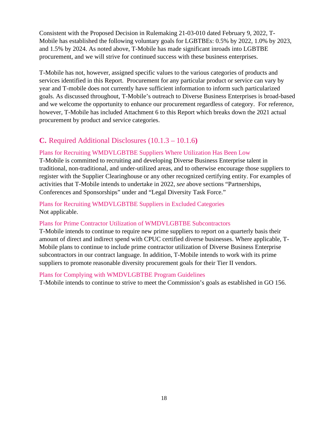Consistent with the Proposed Decision in Rulemaking 21-03-010 dated February 9, 2022, T-Mobile has established the following voluntary goals for LGBTBEs: 0.5% by 2022, 1.0% by 2023, and 1.5% by 2024. As noted above, T-Mobile has made significant inroads into LGBTBE procurement, and we will strive for continued success with these business enterprises.

T-Mobile has not, however, assigned specific values to the various categories of products and services identified in this Report. Procurement for any particular product or service can vary by year and T-mobile does not currently have sufficient information to inform such particularized goals. As discussed throughout, T-Mobile's outreach to Diverse Business Enterprises is broad-based and we welcome the opportunity to enhance our procurement regardless of category. For reference, however, T-Mobile has included Attachment 6 to this Report which breaks down the 2021 actual procurement by product and service categories.

#### <span id="page-17-0"></span>**C.** Required Additional Disclosures (10.1.3 – 10.1.6**)**

#### Plans for Recruiting WMDVLGBTBE Suppliers Where Utilization Has Been Low

T-Mobile is committed to recruiting and developing Diverse Business Enterprise talent in traditional, non-traditional, and under-utilized areas, and to otherwise encourage those suppliers to register with the Supplier Clearinghouse or any other recognized certifying entity. For examples of activities that T-Mobile intends to undertake in 2022, *see* above sections "Partnerships, Conferences and Sponsorships" under and "Legal Diversity Task Force."

Plans for Recruiting WMDVLGBTBE Suppliers in Excluded Categories Not applicable.

#### Plans for Prime Contractor Utilization of WMDVLGBTBE Subcontractors

T-Mobile intends to continue to require new prime suppliers to report on a quarterly basis their amount of direct and indirect spend with CPUC certified diverse businesses. Where applicable, T-Mobile plans to continue to include prime contractor utilization of Diverse Business Enterprise subcontractors in our contract language. In addition, T-Mobile intends to work with its prime suppliers to promote reasonable diversity procurement goals for their Tier II vendors.

#### Plans for Complying with WMDVLGBTBE Program Guidelines

T-Mobile intends to continue to strive to meet the Commission's goals as established in GO 156.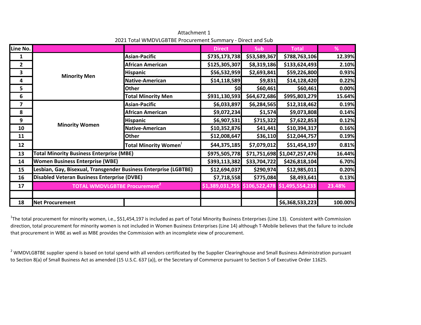| Line No.                |                                                                  |                                               | <b>Direct</b> | <b>Sub</b>   | <b>Total</b>                 | %       |
|-------------------------|------------------------------------------------------------------|-----------------------------------------------|---------------|--------------|------------------------------|---------|
| 1                       |                                                                  | <b>Asian-Pacific</b>                          | \$735,173,738 | \$53,589,367 | \$788,763,106                | 12.39%  |
| $\overline{2}$          |                                                                  | <b>African American</b>                       | \$125,305,307 | \$8,319,186  | \$133,624,493                | 2.10%   |
| 3                       |                                                                  | <b>Hispanic</b>                               | \$56,532,959  | \$2,693,841  | \$59,226,800                 | 0.93%   |
| 4                       | <b>Minority Men</b>                                              | <b>Native-American</b>                        | \$14,118,589  | \$9,831      | \$14,128,420                 | 0.22%   |
| 5                       |                                                                  | <b>Other</b>                                  | \$0           | \$60,461     | \$60,461                     | 0.00%   |
| 6                       |                                                                  | <b>Total Minority Men</b>                     | \$931,130,593 | \$64,672,686 | \$995,803,279                | 15.64%  |
| $\overline{\mathbf{z}}$ |                                                                  | <b>Asian-Pacific</b>                          | \$6,033,897   | \$6,284,565  | \$12,318,462                 | 0.19%   |
| 8                       |                                                                  | <b>African American</b>                       | \$9,072,234   | \$1,574      | \$9,073,808                  | 0.14%   |
| 9                       |                                                                  | <b>Hispanic</b>                               | \$6,907,531   | \$715,322    | \$7,622,853                  | 0.12%   |
| 10                      | <b>Minority Women</b>                                            | Native-American                               | \$10,352,876  | \$41,441     | \$10,394,317                 | 0.16%   |
| 11                      |                                                                  | Other                                         | \$12,008,647  | \$36,110     | \$12,044,757                 | 0.19%   |
| 12                      |                                                                  | <b>Total Minority Women</b>                   | \$44,375,185  | \$7,079,012  | \$51,454,197                 | 0.81%   |
| 13                      | <b>Total Minority Business Enterprise (MBE)</b>                  |                                               | \$975,505,778 |              | \$71,751,698 \$1,047,257,476 | 16.44%  |
| 14                      | <b>Women Business Enterprise (WBE)</b>                           |                                               | \$393,113,382 | \$33,704,722 | \$426,818,104                | 6.70%   |
| 15                      | Lesbian, Gay, Bisexual, Transgender Business Enterprise (LGBTBE) |                                               | \$12,694,037  | \$290,974    | \$12,985,011                 | 0.20%   |
| 16                      | <b>Disabled Veteran Business Enterprise (DVBE)</b>               |                                               | \$7,718,558   | \$775,084    | \$8,493,641                  | 0.13%   |
| 17                      | <b>TOTAL WMDVLGBTBE Procurement<sup>2</sup></b>                  | \$1,389,031,755 \$106,522,478 \$1,495,554,233 |               |              | 23.48%                       |         |
|                         |                                                                  |                                               |               |              |                              |         |
| 18                      | <b>Net Procurement</b>                                           |                                               |               |              | \$6,368,533,223              | 100.00% |

Attachment 12021 Total WMDVLGBTBE Procurement Summary ‐ Direct and Sub

 $1$ The total procurement for minority women, i.e., \$51,454,197 is included as part of Total Minority Business Enterprises (Line 13). Consistent with Commission direction, total procurement for minority women is not included in Women Business Enterprises (Line 14) although T‐Mobile believes that the failure to include that procurement in WBE as well as MBE provides the Commission with an incomplete view of procurement.

 $2$  WMDVLGBTBE supplier spend is based on total spend with all vendors certificated by the Supplier Clearinghouse and Small Business Administration pursuant to Section 8(a) of Small Business Act as amended (15 U.S.C. 637 (a)), or the Secretary of Commerce pursuant to Section 5 of Executive Order 11625.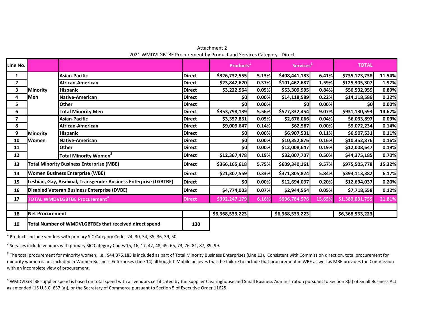Attachment 22021 WMDVLGBTBE Procurement by Product and Services Category ‐ Direct

| Line No.       |                        |                                                                  |               | Products <sup>1</sup> |       | Services <sup>2</sup> |        | <b>TOTAL</b>    |        |
|----------------|------------------------|------------------------------------------------------------------|---------------|-----------------------|-------|-----------------------|--------|-----------------|--------|
| 1              |                        | <b>Asian-Pacific</b>                                             | <b>Direct</b> | \$326,732,555         | 5.13% | \$408,441,183         | 6.41%  | \$735,173,738   | 11.54% |
| $\overline{2}$ |                        | African-American                                                 | <b>Direct</b> | \$23,842,620          | 0.37% | \$101,462,687         | 1.59%  | \$125,305,307   | 1.97%  |
| 3              | Minority               | <b>Hispanic</b>                                                  | <b>Direct</b> | \$3,222,964           | 0.05% | \$53,309,995          | 0.84%  | \$56,532,959    | 0.89%  |
| 4              | <b>I</b> Men           | Native-American                                                  | <b>Direct</b> | \$0                   | 0.00% | \$14,118,589          | 0.22%  | \$14,118,589    | 0.22%  |
| 5.             |                        | <b>Other</b>                                                     | <b>Direct</b> | \$0                   | 0.00% | \$0                   | 0.00%  | \$0l            | 0.00%  |
| 6              |                        | <b>Total Minority Men</b>                                        | <b>Direct</b> | \$353,798,139         | 5.56% | \$577,332,454         | 9.07%  | \$931,130,593   | 14.62% |
| 7              |                        | <b>Asian-Pacific</b>                                             | <b>Direct</b> | \$3,357,831           | 0.05% | \$2,676,066           | 0.04%  | \$6,033,897     | 0.09%  |
| 8              |                        | African-American                                                 | <b>Direct</b> | \$9,009,647           | 0.14% | \$62,587              | 0.00%  | \$9,072,234     | 0.14%  |
| 9              | <b>Minority</b>        | <b>Hispanic</b>                                                  | <b>Direct</b> | \$0                   | 0.00% | \$6,907,531           | 0.11%  | \$6,907,531     | 0.11%  |
| 10             | <b>Women</b>           | Native-American                                                  | <b>Direct</b> | \$0                   | 0.00% | \$10,352,876          | 0.16%  | \$10,352,876    | 0.16%  |
| 11             |                        | <b>Other</b>                                                     | <b>Direct</b> | \$0                   | 0.00% | \$12,008,647          | 0.19%  | \$12,008,647    | 0.19%  |
| 12             |                        | Total Minority Women <sup>3</sup>                                | <b>Direct</b> | \$12,367,478          | 0.19% | \$32,007,707          | 0.50%  | \$44,375,185    | 0.70%  |
| 13             |                        | <b>Total Minority Business Enterprise (MBE)</b>                  | <b>Direct</b> | \$366,165,618         | 5.75% | \$609,340,161         | 9.57%  | \$975,505,778   | 15.32% |
| 14             |                        | <b>Women Business Enterprise (WBE)</b>                           | <b>Direct</b> | \$21,307,559          | 0.33% | \$371,805,824         | 5.84%  | \$393,113,382   | 6.17%  |
| 15             |                        | Lesbian, Gay, Bisexual, Transgender Business Enterprise (LGBTBE) | <b>Direct</b> | \$0                   | 0.00% | \$12,694,037          | 0.20%  | \$12,694,037    | 0.20%  |
| 16             |                        | Disabled Veteran Business Enterprise (DVBE)                      | <b>Direct</b> | \$4,774,003           | 0.07% | \$2,944,554           | 0.05%  | \$7,718,558     | 0.12%  |
| 17             |                        | TOTAL WMDVLGBTBE Procurement <sup>"</sup>                        | <b>Direct</b> | \$392,247,179         | 6.16% | \$996,784,576         | 15.65% | \$1,389,031,755 | 21.81% |
|                |                        |                                                                  |               |                       |       |                       |        |                 |        |
| 18             | <b>Net Procurement</b> |                                                                  |               | \$6,368,533,223       |       | \$6,368,533,223       |        | \$6,368,533,223 |        |
| 19             |                        | Total Number of WMDVLGBTBEs that received direct spend           | 130           |                       |       |                       |        |                 |        |

<sup>1</sup> Products include vendors with primary SIC Category Codes 24, 30, 34, 35, 36, 39, 50.

<sup>2</sup> Services include vendors with primary SIC Category Codes 15, 16, 17, 42, 48, 49, 65, 73, 76, 81, 87, 89, 99.

<sup>3</sup> The total procurement for minority women, i.e., \$44,375,185 is included as part of Total Minority Business Enterprises (Line 13). Consistent with Commission direction, total procurement for minority women is not included in Women Business Enterprises (Line 14) although T‐Mobile believes that the failure to include that procurement in WBE as well as MBE provides the Commission with an incomplete view of procurement.

<sup>4</sup> WMDVLGBTBE supplier spend is based on total spend with all vendors certificated by the Supplier Clearinghouse and Small Business Administration pursuant to Section 8(a) of Small Business Act as amended (15 U.S.C. 637 (a)), or the Secretary of Commerce pursuant to Section 5 of Executive Order 11625.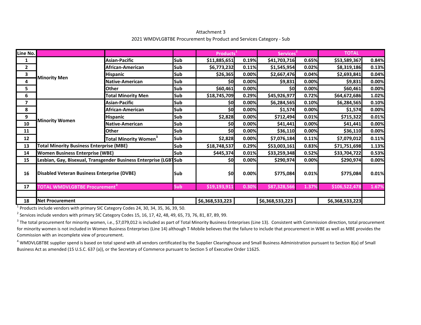Attachment 3 2021 WMDVLGBTBE Procurement by Product and Services Category ‐ Sub

| Line No.                 |                                                           |                                                                  |     | Products <sup>1</sup> |       | Services <sup>2</sup> |       | <b>TOTAL</b>    |       |
|--------------------------|-----------------------------------------------------------|------------------------------------------------------------------|-----|-----------------------|-------|-----------------------|-------|-----------------|-------|
| 1                        |                                                           | Asian-Pacific                                                    | Sub | \$11,885,651          | 0.19% | \$41,703,716          | 0.65% | \$53,589,367    | 0.84% |
| $\mathbf{2}$             |                                                           | African-American                                                 | Sub | \$6,773,232           | 0.11% | \$1,545,954           | 0.02% | \$8,319,186     | 0.13% |
| 3                        | <b>Minority Men</b>                                       | <b>Hispanic</b>                                                  | Sub | \$26,365              | 0.00% | \$2,667,476           | 0.04% | \$2,693,841     | 0.04% |
| 4                        |                                                           | Native-American                                                  | Sub | \$0                   | 0.00% | \$9,831               | 0.00% | \$9,831         | 0.00% |
| 5                        |                                                           | <b>Other</b>                                                     | Sub | \$60,461              | 0.00% | \$0                   | 0.00% | \$60,461        | 0.00% |
| 6                        |                                                           | <b>Total Minority Men</b>                                        | Sub | \$18,745,709          | 0.29% | \$45,926,977          | 0.72% | \$64,672,686    | 1.02% |
| $\overline{\phantom{a}}$ |                                                           | <b>Asian-Pacific</b>                                             | Sub | \$0                   | 0.00% | \$6,284,565           | 0.10% | \$6,284,565     | 0.10% |
| 8                        |                                                           | African-American                                                 | Sub | \$0]                  | 0.00% | \$1,574               | 0.00% | \$1,574         | 0.00% |
| 9                        |                                                           | <b>Hispanic</b>                                                  | Sub | \$2,828               | 0.00% | \$712,494             | 0.01% | \$715,322       | 0.01% |
| 10                       | <b>Minority Women</b>                                     | <b>Native-American</b>                                           | Sub | \$0                   | 0.00% | \$41,441              | 0.00% | \$41,441        | 0.00% |
| 11                       |                                                           | <b>Other</b>                                                     | Sub | \$0                   | 0.00% | \$36,110              | 0.00% | \$36,110        | 0.00% |
| 12                       |                                                           | <b>Total Minority Women<sup>3</sup></b>                          | Sub | \$2,828               | 0.00% | \$7,076,184           | 0.11% | \$7,079,012     | 0.11% |
| 13                       | <b>Total Minority Business Enterprise (MBE)</b>           |                                                                  | Sub | \$18,748,537          | 0.29% | \$53,003,161          | 0.83% | \$71,751,698    | 1.13% |
| 14                       | <b>Women Business Enterprise (WBE)</b>                    |                                                                  | Sub | \$445,374             | 0.01% | \$33,259,348          | 0.52% | \$33,704,722    | 0.53% |
| 15                       |                                                           | Lesbian, Gay, Bisexual, Transgender Business Enterprise (LGBTSub |     | \$0                   | 0.00% | \$290,974             | 0.00% | \$290,974       | 0.00% |
| 16                       | <b>Disabled Veteran Business Enterprise (DVBE)</b><br>Sub |                                                                  |     | \$0                   | 0.00% | \$775,084             | 0.01% | \$775,084       | 0.01% |
| 17                       | TOTAL WMDVLGBTBE Procurement <sup>"</sup>                 |                                                                  | Sub | \$19,193,911          | 0.30% | \$87,328,566          | 1.37% | \$106,522,478   | 1.67% |
|                          |                                                           |                                                                  |     |                       |       |                       |       |                 |       |
| 18                       | <b>Net Procurement</b>                                    |                                                                  |     | \$6,368,533,223       |       | \$6,368,533,223       |       | \$6,368,533,223 |       |

<sup>1</sup> Products include vendors with primary SIC Category Codes 24, 30, 34, 35, 36, 39, 50.

<sup>2</sup> Services include vendors with primary SIC Category Codes 15, 16, 17, 42, 48, 49, 65, 73, 76, 81, 87, 89, 99.

<sup>3</sup> The total procurement for minority women, i.e., \$7,079,012 is included as part of Total Minority Business Enterprises (Line 13). Consistent with Commission direction, total procurement for minority women is not included in Women Business Enterprises (Line 14) although T-Mobile believes that the failure to include that procurement in WBE as well as MBE provides the Commission with an incomplete view of procurement.

<sup>4</sup> WMDVLGBTBE supplier spend is based on total spend with all vendors certificated by the Supplier Clearinghouse and Small Business Administration pursuant to Section 8(a) of Small Business Act as amended (15 U.S.C. 637 (a)), or the Secretary of Commerce pursuant to Section 5 of Executive Order 11625.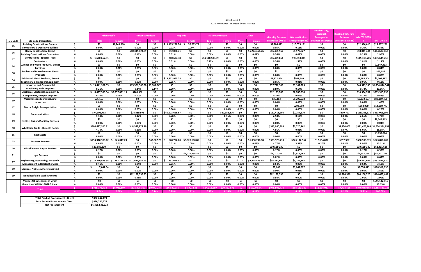| Bisexual.<br><b>Asian Pacific</b><br><b>African American</b><br><b>Hispanic</b><br><b>Native American</b><br>Other<br><b>Minority Business</b><br><b>Women Businss</b><br><b>Transgender</b><br><b>SIC Code</b><br><b>SIC Code Description</b><br>Male<br>Female<br><b>Male</b><br>Male<br><b>Female</b><br>Female<br><b>Male</b><br>Female<br><b>Male</b><br>Female<br><b>Enterprise (MBE</b><br>Enterprise (WBE<br>រsiness Enterprise<br>\$0<br><b>Building Construction - General</b><br>Š.<br>\$0<br>\$1,743,860<br>\$0<br>$$1.105.228.76$ $$$<br>57,735.78<br>\$0<br>\$0<br>\$0<br>\$0<br>\$2,906,825<br>\$0<br>\$10,079,191<br>15<br>%<br>0.00%<br>0.00%<br>0.00%<br>0.00%<br>0.00%<br>0.02%<br>0.00%<br>0.00%<br>0.05%<br>0.16%<br>0.00%<br><b>Contractors &amp; Operative Builders</b><br>0.03%<br>0.00%<br>\$0<br>\$10,345,424.09<br>\$0<br>\$0<br>\$0<br>- Ś<br>\$0<br>\$0<br>892,080.71<br>\$0<br>\$0<br>\$5,224,451.76<br>\$16,461,957<br>\$1,579,527<br><b>Heavy Construction, Exepct</b><br>16<br>0.00%<br>0.00%<br>0.00%<br>0.00%<br><b>Building Construction - Contractors</b><br>%<br>0.00%<br>0.16%<br>$0.00\%$<br>0.01%<br>0.00%<br>0.00%<br>0.08%<br>0.26%<br>0.02% | Disabled Veteran:<br><b>Total</b><br><b>NMDVLGBTE</b><br><b>Business</b><br><b>Total Dollars</b><br>nterprise (DVBE:<br>\$0<br>\$12,986,016<br>\$24,837,280<br>0.00%<br>0.20%<br>\$0<br>\$18,041,484<br>\$184,687,463<br>0.00%<br>0.28%<br>2.90%<br>\$0<br>\$135,649,758<br>\$115,313,705<br>0.00%<br>1.81%<br>2.13%<br>\$0<br>SO.<br>\$2,547,413<br>0.00%<br>0.00%<br>0.04%<br>\$0<br>\$0<br>\$63,685 | 0.39%         |
|-----------------------------------------------------------------------------------------------------------------------------------------------------------------------------------------------------------------------------------------------------------------------------------------------------------------------------------------------------------------------------------------------------------------------------------------------------------------------------------------------------------------------------------------------------------------------------------------------------------------------------------------------------------------------------------------------------------------------------------------------------------------------------------------------------------------------------------------------------------------------------------------------------------------------------------------------------------------------------------------------------------------------------------------------------------------------------------------------------------------------------------------------------------------------------------------|--------------------------------------------------------------------------------------------------------------------------------------------------------------------------------------------------------------------------------------------------------------------------------------------------------------------------------------------------------------------------------------------------------|---------------|
|                                                                                                                                                                                                                                                                                                                                                                                                                                                                                                                                                                                                                                                                                                                                                                                                                                                                                                                                                                                                                                                                                                                                                                                         |                                                                                                                                                                                                                                                                                                                                                                                                        |               |
|                                                                                                                                                                                                                                                                                                                                                                                                                                                                                                                                                                                                                                                                                                                                                                                                                                                                                                                                                                                                                                                                                                                                                                                         |                                                                                                                                                                                                                                                                                                                                                                                                        |               |
|                                                                                                                                                                                                                                                                                                                                                                                                                                                                                                                                                                                                                                                                                                                                                                                                                                                                                                                                                                                                                                                                                                                                                                                         |                                                                                                                                                                                                                                                                                                                                                                                                        |               |
|                                                                                                                                                                                                                                                                                                                                                                                                                                                                                                                                                                                                                                                                                                                                                                                                                                                                                                                                                                                                                                                                                                                                                                                         |                                                                                                                                                                                                                                                                                                                                                                                                        |               |
|                                                                                                                                                                                                                                                                                                                                                                                                                                                                                                                                                                                                                                                                                                                                                                                                                                                                                                                                                                                                                                                                                                                                                                                         |                                                                                                                                                                                                                                                                                                                                                                                                        |               |
|                                                                                                                                                                                                                                                                                                                                                                                                                                                                                                                                                                                                                                                                                                                                                                                                                                                                                                                                                                                                                                                                                                                                                                                         |                                                                                                                                                                                                                                                                                                                                                                                                        |               |
|                                                                                                                                                                                                                                                                                                                                                                                                                                                                                                                                                                                                                                                                                                                                                                                                                                                                                                                                                                                                                                                                                                                                                                                         |                                                                                                                                                                                                                                                                                                                                                                                                        |               |
| 1,620,667.91<br>Š.<br>760,607.38<br>\$0<br>\$14,118,589.09<br>\$0<br>\$16,499,864<br>\$98,813,841<br>\$0<br>\$0<br>\$0<br>\$0<br>\$0<br>\$0<br><b>Contructions - Special Trade</b><br>17                                                                                                                                                                                                                                                                                                                                                                                                                                                                                                                                                                                                                                                                                                                                                                                                                                                                                                                                                                                                |                                                                                                                                                                                                                                                                                                                                                                                                        |               |
| 0.00%<br>0.00%<br>0.00%<br>0.00%<br>0.00%<br>0.00%<br>0.00%<br>0.26%<br>0.00%<br>%<br>0.03%<br>0.01%<br>0.22%<br>1.55%<br><b>Contractors</b>                                                                                                                                                                                                                                                                                                                                                                                                                                                                                                                                                                                                                                                                                                                                                                                                                                                                                                                                                                                                                                            |                                                                                                                                                                                                                                                                                                                                                                                                        |               |
| -S<br>\$0<br>\$0<br>\$0<br>\$0<br>\$0<br>\$0<br>\$0<br>\$0<br>\$0<br>\$0<br>\$O<br>\$0<br>\$0<br>umber and Wood Products, Except<br>24                                                                                                                                                                                                                                                                                                                                                                                                                                                                                                                                                                                                                                                                                                                                                                                                                                                                                                                                                                                                                                                  |                                                                                                                                                                                                                                                                                                                                                                                                        |               |
| 0.00%<br>0.00%<br>0.00%<br>0.00%<br>0.00%<br>%<br>0.00%<br>0.00%<br>0.00%<br>0.00%<br>0.00%<br>0.00%<br>0.00%<br>0.00%<br><b>Furniture</b>                                                                                                                                                                                                                                                                                                                                                                                                                                                                                                                                                                                                                                                                                                                                                                                                                                                                                                                                                                                                                                              |                                                                                                                                                                                                                                                                                                                                                                                                        |               |
| $\mathsf{S}$<br>\$0<br>\$0<br>\$0<br>\$0<br>\$0<br>\$0<br>\$0<br>\$0<br>\$0<br>\$0<br>\$0<br>\$0<br><b>Rubber and Miscellaneous Plastic</b><br>\$0<br>30                                                                                                                                                                                                                                                                                                                                                                                                                                                                                                                                                                                                                                                                                                                                                                                                                                                                                                                                                                                                                                |                                                                                                                                                                                                                                                                                                                                                                                                        |               |
| 0.00%<br>0.00%<br>0.00%<br><b>Products</b><br>0.00%<br>0.00%<br>0.00%<br>0.00%<br>0.00%<br>0.00%<br>0.00%<br>0.00%<br>0.00%<br>0.00%<br>%                                                                                                                                                                                                                                                                                                                                                                                                                                                                                                                                                                                                                                                                                                                                                                                                                                                                                                                                                                                                                                               | 0.00%<br>0.00%<br>0.00%                                                                                                                                                                                                                                                                                                                                                                                |               |
| \$0<br>\$0<br>\$0<br>\$0<br>\$362,540<br>\$0<br><b>Fabricated Metal Products, Except</b><br>S.<br>\$0<br>\$3,222,963.75<br>\$0<br>\$0<br>\$0<br>\$0<br>\$3,222,964<br>34                                                                                                                                                                                                                                                                                                                                                                                                                                                                                                                                                                                                                                                                                                                                                                                                                                                                                                                                                                                                                | \$0<br>\$3,585,504                                                                                                                                                                                                                                                                                                                                                                                     | \$7,005,387   |
| %<br>0.00%<br>$0.00\%$<br>0.00%<br>0.00%<br>0.00%<br>0.00%<br>0.00%<br>0.00%<br>0.00%<br>0.05%<br>0.00%<br><b>Machinery &amp; Transport Equipment</b><br>0.05%<br>0.01%                                                                                                                                                                                                                                                                                                                                                                                                                                                                                                                                                                                                                                                                                                                                                                                                                                                                                                                                                                                                                 | 0.00%<br>0.11%<br>0.06%                                                                                                                                                                                                                                                                                                                                                                                |               |
| <b>Industrial and Commercial</b><br>Š.<br>\$13,441,301.55<br>\$0<br>\$15,321,360.58<br>\$9,009,647<br>\$0<br>\$0<br>\$0<br>\$0<br>\$0<br>\$0<br>\$37,772,309<br>\$0<br>\$9,147,225<br>35                                                                                                                                                                                                                                                                                                                                                                                                                                                                                                                                                                                                                                                                                                                                                                                                                                                                                                                                                                                                | \$0<br>\$46,919,535<br>\$1,334,844,564                                                                                                                                                                                                                                                                                                                                                                 |               |
| 0.00%<br>0.00%<br>0.00%<br>0.00%<br>0.00%<br>0.00%<br>0.00%<br>%<br>0.21%<br>0.24%<br>0.14%<br>0.00%<br>0.59%<br>0.14%<br><b>Machinery and Computer</b>                                                                                                                                                                                                                                                                                                                                                                                                                                                                                                                                                                                                                                                                                                                                                                                                                                                                                                                                                                                                                                 | 0.00%<br>0.74%<br>20.96%                                                                                                                                                                                                                                                                                                                                                                               |               |
| 8,627,569.54<br>\$0<br>\$0<br>\$0<br>\$0<br>\$0<br>\$0<br>Electronic, Electrical Equipment &<br>Š.<br>\$3,357,831.15<br>\$168,382<br>\$0<br>\$0<br>\$12,153,783<br>\$2,780,998<br>36                                                                                                                                                                                                                                                                                                                                                                                                                                                                                                                                                                                                                                                                                                                                                                                                                                                                                                                                                                                                    | \$0<br>\$14,934,781<br>\$599,915,830                                                                                                                                                                                                                                                                                                                                                                   |               |
| 0.00%<br>0.00%<br>0.00%<br>0.00%<br>0.00%<br>0.00%<br>0.00%<br>%<br>0.14%<br>0.05%<br>0.00%<br>0.00%<br>0.19%<br>0.04%<br><b>Components, Except Computer</b>                                                                                                                                                                                                                                                                                                                                                                                                                                                                                                                                                                                                                                                                                                                                                                                                                                                                                                                                                                                                                            | 0.00%<br>0.23%<br>9.42%                                                                                                                                                                                                                                                                                                                                                                                |               |
| \$0<br>Š.<br>\$0<br>\$0<br>\$0<br>\$0<br>\$0<br><b>Miscellaneous Manufacturing</b><br>\$36,163<br>\$0<br>\$0<br>\$0<br>\$0<br>\$36,163<br>\$5,296,033<br>39                                                                                                                                                                                                                                                                                                                                                                                                                                                                                                                                                                                                                                                                                                                                                                                                                                                                                                                                                                                                                             | \$0<br>\$89,159,465<br>\$5,332,197                                                                                                                                                                                                                                                                                                                                                                     |               |
| 0.00%<br>0.00%<br>0.00%<br>0.00%<br>0.00%<br>%<br>0.00%<br>0.00%<br>0.00%<br>0.00%<br>0.00%<br>0.00%<br>0.00%<br>0.08%<br><b>Industries</b>                                                                                                                                                                                                                                                                                                                                                                                                                                                                                                                                                                                                                                                                                                                                                                                                                                                                                                                                                                                                                                             | 0.00%<br>0.08%<br>1.40%                                                                                                                                                                                                                                                                                                                                                                                |               |
| \$0<br>\$0<br>\$0<br>\$0<br>S.<br>\$0<br>\$0<br>\$0<br>\$0<br>SO.<br>\$0<br>\$O<br>\$292,950<br>\$0<br>42<br><b>Motor Freight Transportation</b>                                                                                                                                                                                                                                                                                                                                                                                                                                                                                                                                                                                                                                                                                                                                                                                                                                                                                                                                                                                                                                        | \$0<br>\$292,950<br>\$14,010,773                                                                                                                                                                                                                                                                                                                                                                       |               |
| 0.00%<br>0.00%<br>0.00%<br>0.00%<br>0.00%<br>%<br>0.00%<br>0.00%<br>0.00%<br>0.00%<br>0.00%<br>0.00%<br>0.00%<br>0.00%                                                                                                                                                                                                                                                                                                                                                                                                                                                                                                                                                                                                                                                                                                                                                                                                                                                                                                                                                                                                                                                                  | 0.00%<br>0.00%<br>0.22%                                                                                                                                                                                                                                                                                                                                                                                |               |
| \$0<br>\$0<br>\$0<br>\$49,573,656.67<br>\$0<br>\$0<br>\$0<br>\$0<br>- Ś<br>\$74,996,703<br>\$26,489,973<br>\$10,352,87<br>\$161,413,208<br>\$7,754,570<br>48<br>Communications                                                                                                                                                                                                                                                                                                                                                                                                                                                                                                                                                                                                                                                                                                                                                                                                                                                                                                                                                                                                          | \$363,006,394<br>\$100,797<br>\$169,268,57                                                                                                                                                                                                                                                                                                                                                             |               |
| $0.00\%$<br>%<br>0.00%<br>0.00%<br>0.00%<br>0.00%<br>0.00%<br>2.53%<br>0.00%<br>1.18%<br>0.42%<br>0.78%<br>0.16%<br>0.12%                                                                                                                                                                                                                                                                                                                                                                                                                                                                                                                                                                                                                                                                                                                                                                                                                                                                                                                                                                                                                                                               | 2.66%<br>5.70%<br>0.00%                                                                                                                                                                                                                                                                                                                                                                                |               |
| \$0<br>\$0<br>\$0<br>\$0<br>\$0<br>\$0<br>\$0<br>\$0<br>\$0<br>\$0<br>\$0<br>\$0<br>\$0<br>\$<br>49<br><b>Electric, Gas and Sanitary Services</b>                                                                                                                                                                                                                                                                                                                                                                                                                                                                                                                                                                                                                                                                                                                                                                                                                                                                                                                                                                                                                                       | \$0<br>\$0<br>\$2,547,413                                                                                                                                                                                                                                                                                                                                                                              |               |
| 0.00%<br>0.00%<br>0.00%<br>0.00%<br>%<br>0.00%<br>0.00%<br>0.00%<br>0.00%<br>0.00%<br>0.00%<br>$0.00\%$<br>0.00%<br>0.00%                                                                                                                                                                                                                                                                                                                                                                                                                                                                                                                                                                                                                                                                                                                                                                                                                                                                                                                                                                                                                                                               | 0.00%<br>0.00%                                                                                                                                                                                                                                                                                                                                                                                         | 0.04%         |
| \$.<br>\$304,627,520.71<br>\$0<br>\$8.352.877.39<br>\$0<br>\$0<br>\$0<br>SO.<br>\$0<br>\$0<br>\$0<br>\$312,980,398<br>\$3,720,762<br>\$0<br>50<br><b>Wholesale Trade - Durable Goods</b>                                                                                                                                                                                                                                                                                                                                                                                                                                                                                                                                                                                                                                                                                                                                                                                                                                                                                                                                                                                                | \$4,774,003<br>\$321,475,163<br>\$1,654,544,931                                                                                                                                                                                                                                                                                                                                                        |               |
| %<br>4.78%<br>0.00%<br>0.00%<br>0.00%<br>0.00%<br>0.00%<br>0.00%<br>0.00%<br>0.00%<br>0.13%<br>0.00%<br>4.91%<br>0.06%                                                                                                                                                                                                                                                                                                                                                                                                                                                                                                                                                                                                                                                                                                                                                                                                                                                                                                                                                                                                                                                                  | 0.07%<br>5.05%<br>25.98%                                                                                                                                                                                                                                                                                                                                                                               |               |
| \$0<br>\$0<br>\$0<br>\$0<br>\$0<br>\$0<br>\$0<br>\$0<br>\$0<br>SO.<br>\$0<br>\$0<br>\$0<br>S.<br>65<br><b>Real Estate</b>                                                                                                                                                                                                                                                                                                                                                                                                                                                                                                                                                                                                                                                                                                                                                                                                                                                                                                                                                                                                                                                               | \$0<br>\$O<br>\$3,630,064                                                                                                                                                                                                                                                                                                                                                                              |               |
| 0.00%<br>0.00%<br>0.00%<br>0.00%<br>0.00%<br>0.00%<br>0.00%<br>0.00%<br>0.00%<br>0.00%<br>0.00%<br>0.00%<br>0.00%<br>%                                                                                                                                                                                                                                                                                                                                                                                                                                                                                                                                                                                                                                                                                                                                                                                                                                                                                                                                                                                                                                                                  | 0.00%<br>0.00%<br>0.06%                                                                                                                                                                                                                                                                                                                                                                                |               |
| \$294,910,986.12<br>\$5,828,600.86<br>S.<br>545,047.23<br>\$0<br>\$62,587.20<br>640,752.00<br>\$0<br>\$0<br>\$0<br>\$1,938,736.10<br>\$303,926,710<br>\$243,112,557<br>\$12,694,037<br>73<br><b>Business Services</b>                                                                                                                                                                                                                                                                                                                                                                                                                                                                                                                                                                                                                                                                                                                                                                                                                                                                                                                                                                   | \$857,367<br>\$560,590,67<br>\$643,858,709                                                                                                                                                                                                                                                                                                                                                             |               |
| 4.63%<br>0.00%<br>0.00%<br>0.00%<br>0.20%<br>%<br>0.01%<br>$0.00\%$<br>0.01%<br>0.09%<br>0.00%<br>0.03%<br>4.77%<br>3.82%                                                                                                                                                                                                                                                                                                                                                                                                                                                                                                                                                                                                                                                                                                                                                                                                                                                                                                                                                                                                                                                               | 0.01%<br>8.80%<br>10.11%                                                                                                                                                                                                                                                                                                                                                                               |               |
| $\mathsf{S}$<br>\$10,589,330<br>\$0<br>\$0<br>\$0<br>\$0<br>\$0<br>\$0<br>\$0<br>\$0<br>\$0<br>\$10,589,330<br>\$0<br>\$0<br>76<br><b>Miscellaneous Repair Services</b>                                                                                                                                                                                                                                                                                                                                                                                                                                                                                                                                                                                                                                                                                                                                                                                                                                                                                                                                                                                                                 | \$0<br>\$10,589,330<br>\$62,411,626                                                                                                                                                                                                                                                                                                                                                                    |               |
| $\%$<br>0.17%<br>0.00%<br>0.00%<br>0.00%<br>0.00%<br>0.00%<br>0.00%<br>0.00%<br>0.00%<br>0.17%<br>0.00%<br>0.00%<br>0.00%                                                                                                                                                                                                                                                                                                                                                                                                                                                                                                                                                                                                                                                                                                                                                                                                                                                                                                                                                                                                                                                               | 0.00%<br>0.17%<br>0.98%                                                                                                                                                                                                                                                                                                                                                                                |               |
| \$0<br>$\mathsf{S}$<br>\$0<br>\$0<br>\$0<br>\$0<br>\$0<br>\$0<br>\$0<br>\$0<br>\$1,021,194<br>\$1,915,963<br>\$0<br>\$1,021,194.31<br><b>Legal Services</b><br>81                                                                                                                                                                                                                                                                                                                                                                                                                                                                                                                                                                                                                                                                                                                                                                                                                                                                                                                                                                                                                       | \$0<br>\$2,937,158<br>\$40,121,759                                                                                                                                                                                                                                                                                                                                                                     |               |
| 0.00%<br>0.00%<br>%<br>0.00%<br>0.00%<br>0.00%<br>0.02%<br>0.00%<br>0.00%<br>$0.00\%$<br>0.00%<br>0.02%<br>0.03%<br>0.00%                                                                                                                                                                                                                                                                                                                                                                                                                                                                                                                                                                                                                                                                                                                                                                                                                                                                                                                                                                                                                                                               | 0.00%<br>0.05%<br>0.63%                                                                                                                                                                                                                                                                                                                                                                                |               |
| 2,444,954.43<br>\$0<br>\$0<br>\$34.331.690<br>\$0<br><b>Engineering, Accounting, Research,</b><br>S.<br>\$26.316.448.38<br>$$387,158.35$ \$<br>337.669.51<br>\$0<br>\$0<br>$\dot{\mathsf{s}}$ .<br>\$4,845,459.48<br>\$5,189,397<br>87                                                                                                                                                                                                                                                                                                                                                                                                                                                                                                                                                                                                                                                                                                                                                                                                                                                                                                                                                  | \$39,521,087<br>\$197,424,530<br>\$0                                                                                                                                                                                                                                                                                                                                                                   |               |
| 0.00%<br>0.00%<br>0.00%<br>0.00%<br><b>Management &amp; Related Services</b><br>%<br>0.41%<br>0.01%<br>0.04%<br>0.01%<br>0.00%<br>0.00%<br>0.08%<br>0.54%<br>0.08%                                                                                                                                                                                                                                                                                                                                                                                                                                                                                                                                                                                                                                                                                                                                                                                                                                                                                                                                                                                                                      | 0.00%<br>0.62%<br>3.10%                                                                                                                                                                                                                                                                                                                                                                                |               |
| \$.<br>7,047.54<br>\$0<br>\$0<br>\$0<br>\$0<br>\$0<br>\$0<br>\$0<br>\$0<br>\$7,048<br>\$3,067,827<br>\$0<br>\$<br>$\sim$ $-$<br>89<br><b>Services, Not Elsewhere Classified</b>                                                                                                                                                                                                                                                                                                                                                                                                                                                                                                                                                                                                                                                                                                                                                                                                                                                                                                                                                                                                         | \$0<br>\$3,074,875<br>\$178,318,930                                                                                                                                                                                                                                                                                                                                                                    |               |
| %<br>0.00%<br>0.00%<br>0.00%<br>0.00%<br>0.00%<br>0.00%<br>0.00%<br>0.00%<br>0.00%<br>0.00%<br>0.00%<br>0.05%<br>0.00%                                                                                                                                                                                                                                                                                                                                                                                                                                                                                                                                                                                                                                                                                                                                                                                                                                                                                                                                                                                                                                                                  | 0.00%<br>0.05%<br>2.80%                                                                                                                                                                                                                                                                                                                                                                                |               |
| \$<br>\$0<br>\$0<br>\$62,182,335.35<br>\$0<br>\$0<br>\$0<br>\$0<br>\$0<br>\$0<br>\$62,182,335<br>\$0<br>\$0<br>\$0<br>99<br><b>Nonclassifiable Establishments</b>                                                                                                                                                                                                                                                                                                                                                                                                                                                                                                                                                                                                                                                                                                                                                                                                                                                                                                                                                                                                                       | \$1,986,390<br>\$64,168,725<br>\$184,687,463                                                                                                                                                                                                                                                                                                                                                           |               |
| %<br>0.00%<br>0.00%<br>0.00%<br>0.00%<br>0.00%<br>0.00%<br>0.00%<br>0.00%<br>0.00%<br>0.00%<br>0.98%<br>0.00%<br>0.98%                                                                                                                                                                                                                                                                                                                                                                                                                                                                                                                                                                                                                                                                                                                                                                                                                                                                                                                                                                                                                                                                  | 1.01%<br>2.90%<br>0.03%                                                                                                                                                                                                                                                                                                                                                                                |               |
| $\mathsf{s}$<br>\$0<br>\$0<br>\$0<br>\$0<br>\$0<br>\$0<br>\$0<br>\$0<br>\$0<br>\$0<br>\$0<br>Various SIC categories of which<br>\$0<br>\$0                                                                                                                                                                                                                                                                                                                                                                                                                                                                                                                                                                                                                                                                                                                                                                                                                                                                                                                                                                                                                                              | \$0<br>\$645,132,415<br>\$0                                                                                                                                                                                                                                                                                                                                                                            |               |
| 0.00%<br>0.00%<br>0.00%<br>0.00%<br>0.00%<br>0.00%<br>0.00%<br>0.00%<br>0.00%<br>0.00%<br>0.00%<br>0.00%<br>there is no WMDVLGBTBE Spend<br>%<br>0.00%                                                                                                                                                                                                                                                                                                                                                                                                                                                                                                                                                                                                                                                                                                                                                                                                                                                                                                                                                                                                                                  | 0.00%<br>0.00%<br>10.13%                                                                                                                                                                                                                                                                                                                                                                               |               |
| \$6.033.89<br>\$125,305,307<br>56.532.959<br>10.352.8<br>\$0<br>\$12.008.64<br>\$12.694.037<br>\$735.173.738<br>\$9.072.23<br>\$6,907.531<br>\$14.118.58<br>\$975.505.778<br>\$393.113.38<br><b>Total</b>                                                                                                                                                                                                                                                                                                                                                                                                                                                                                                                                                                                                                                                                                                                                                                                                                                                                                                                                                                               | \$7.718.55<br>'########                                                                                                                                                                                                                                                                                                                                                                                | 5.368.533.223 |
| 11.54%<br>0.09%<br>0.14%<br>0.89%<br>0.11%<br>0.22%<br>0.16%<br>0.19%<br>15.32%<br>6.17%<br>0.20%<br>1.97%<br>0.00%                                                                                                                                                                                                                                                                                                                                                                                                                                                                                                                                                                                                                                                                                                                                                                                                                                                                                                                                                                                                                                                                     | 0.12%<br>21.81%<br>100.00%                                                                                                                                                                                                                                                                                                                                                                             |               |

#### Attachment 4 2021 WMDVLGBTBE Detail by SIC ‐ Direct

| <b>Total Product Procurement - Direct</b> | \$392,247,179   |
|-------------------------------------------|-----------------|
| <b>Total Service Procurement - Direct</b> | \$996,784,576   |
| <b>Net Procurement</b>                    | \$6,368,533,223 |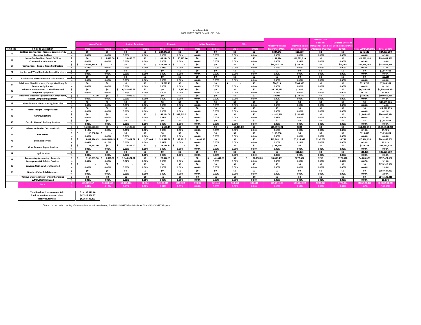| Attachment 4S |                                     |  |  |  |  |  |  |  |  |  |
|---------------|-------------------------------------|--|--|--|--|--|--|--|--|--|
|               | 2021 WMDVLGBTBE Detail by SIC - Sub |  |  |  |  |  |  |  |  |  |

|                 |                                                           |                |                      |                            |                                      |          |                                   |            |          |                        |                         |               |                          |                      | Lesbian, Gay,                                   |                          |                        |                      |
|-----------------|-----------------------------------------------------------|----------------|----------------------|----------------------------|--------------------------------------|----------|-----------------------------------|------------|----------|------------------------|-------------------------|---------------|--------------------------|----------------------|-------------------------------------------------|--------------------------|------------------------|----------------------|
|                 |                                                           |                | <b>Asian Pacific</b> |                            | <b>African American</b>              |          | <b>Hispanic</b>                   |            |          | <b>Native American</b> |                         | Other         |                          |                      | Bisexual.                                       | <b>Disabled Veterans</b> |                        |                      |
|                 |                                                           |                |                      |                            |                                      |          |                                   |            |          |                        |                         |               | <b>Minority Business</b> | <b>Women Businss</b> | <b>Transgender Business Business Enterprise</b> |                          |                        |                      |
| <b>SIC Code</b> | <b>SIC Code Description</b>                               |                | Male                 | Female                     | Male                                 | Female   | <b>Male</b>                       | Female     | Male     | Female                 | Male                    | <b>Female</b> | <b>Enterprise (MBE)</b>  | nterprise (WBE       | nterprise (LGBTBI                               | (DVBE)                   | <b>Total WMDVLGBTE</b> | <b>Total Dollars</b> |
| 15              | <b>Building Construction - General Contractors &amp;</b>  | s.             | \$0                  | \$0                        | \$0                                  | \$0      | 224.843.00                        | \$O        | \$0      | \$0                    | \$0                     | \$0           | \$224.843                | \$16,789             | \$0                                             | \$0                      | \$241.632              | \$24.837.280         |
|                 | <b>Operative Builders</b>                                 | %              | 0.00%                | 0.00%                      | 0.00%                                | 0.00%    | 0.00%                             | 0.00%      | 0.00%    | 0.00%                  | 0.00%                   | 0.00%         | 0.00%                    | 0.00%                | 0.00%                                           | 0.00%                    | 0.00%                  | 0.39%                |
| 16              | <b>Heavy Construction, Exepct Building</b>                | s.             | \$0                  | $$9.427.00$ \$             | 26,456.00                            | \$0      | 45.114.00<br>$\ddot{\phantom{0}}$ | 60.287.00  | \$0      | \$0                    | \$0                     | \$0           | \$141.284                | \$24,632,210         | \$0                                             | \$O                      | \$24,773,494           | \$184.687.463        |
|                 | <b>Construction - Contractors</b>                         | %              | 0.00%                | 0.00%                      | 0.00%                                | 0.00%    | 0.00%                             | 0.00%      | 0.00%    | 0.00%                  | 0.00%                   | 0.00%         | 0.00%                    | 0.39%                | 0.00%                                           | 0.00%                    | 0.39%                  | 2.90%                |
| 17              | <b>Contructions - Special Trade Contractors</b>           | $\mathsf{s}$   | 33.685.238.87        | ٠.                         | \$0                                  | \$0      | 573.486.00                        | ٠.         | \$0      | \$O                    | \$0                     | \$0           | \$34,258,725             | \$253,780            | \$0                                             | \$45.762                 | \$34,558,266           | \$135.649.758        |
|                 |                                                           | %              | 0.53%                | 0.00%                      | 0.00%                                | 0.00%    | 0.01%                             | 0.00%      | 0.00%    | 0.00%                  | 0.00%                   | 0.00%         | 0.54%                    | 0.00%                | 0.00%                                           | 0.00%                    | 0.54%                  | 2.13%                |
| 24              | <b>Lumber and Wood Products. Except Furniture</b>         | s.             | \$0                  | \$0                        | \$0                                  | \$0      | \$0                               | \$O        | \$0      | \$0                    | \$O                     | \$0           | \$0                      | \$O                  | \$0                                             | \$O                      | SO.                    | \$2,547,413          |
|                 |                                                           | %              | 0.00%                | 0.00%                      | 0.00%                                | 0.00%    | 0.00%                             | 0.00%      | 0.00%    | 0.00%                  | 0.00%                   | 0.00%         | 0.00%                    | 0.00%                | 0.00%                                           | 0.00%                    | 0.00%                  | 0.04%                |
| 30              | <b>Rubber and Miscellaneous Plastic Products</b>          | s.             | \$0                  | \$0                        | \$0                                  | \$0      | \$0                               | \$0        | \$0      | \$0                    | \$0                     | \$0           | \$0                      | \$0                  | \$0                                             | \$0                      | \$O                    | \$63,685             |
|                 |                                                           | %              | 0.00%                | 0.00%                      | 0.00%                                | 0.00%    | 0.00%                             | 0.00%      | 0.00%    | 0.00%                  | 0.00%                   | 0.00%         | 0.00%                    | 0.00%                | 0.00%                                           | 0.00%                    | 0.00%                  | 0.00%                |
| 34              | Fabricated Metal Products, Except Machinery &             |                | \$0                  | \$0                        | \$0                                  | \$0      | 24.729.13                         | \$0        | \$0      | \$0                    | ۰.                      | \$0           | \$24,729                 | \$304.990            | \$0                                             | \$0                      | \$329.719              | \$7,005.387          |
|                 | <b>Transport Equipment</b>                                | %              | 0.00%                | 0.00%                      | 0.00%                                | 0.00%    | 0.00%                             | 0.00%      | 0.00%    | 0.00%                  | 0.00%                   | 0.00%         | 0.00%                    | 0.00%                | 0.00%                                           | 0.00%                    | 0.01%                  | 0.11%                |
| 35              | Industrial and Commercial Machinery and                   | s.             | \$0                  | \$0                        | 6,752,656.67<br>$\ddot{\phantom{1}}$ | \$0      | \$0                               | 2.827.95   | \$0      | \$O                    | \$0                     | \$0           | \$6,755,485              | \$1.034              | \$0                                             | \$0                      | \$6,756,519            | \$1.334.844.564      |
|                 | <b>Computer Equipment</b>                                 | %              | 0.00%                | 0.00%                      | 0.11%                                | 0.00%    | 0.00%                             | 0.00%      | 0.00%    | 0.00%                  | 0.00%                   | 0.00%         | 0.11%                    | 0.00%                | 0.00%                                           | 0.00%                    | 0.11%                  | 20.96%               |
| 36              | <b>Electronic. Electrical Equipment &amp; Components.</b> | $s$ s          | 47.70                | \$0                        | 8.985.00<br>l c                      | \$0      | \$0                               | \$0        | \$0      | \$0                    | \$0                     | \$0           | \$9,033                  | \$138.547            | \$0                                             | \$0                      | \$147.580              | \$599.915.830        |
|                 | <b>Except Computer Equipment</b>                          | %              | 0.00%                | 0.00%                      | 0.00%                                | 0.00%    | 0.00%                             | 0.00%      | 0.00%    | 0.00%                  | 0.00%                   | 0.00%         | 0.00%                    | 0.00%                | 0.00%                                           | 0.00%                    | 0.00%                  | 9.42%                |
| 39              | <b>Miscellaneous Manufacturing Industries</b>             | s.             | \$0                  | \$0                        | \$0                                  | \$0      | \$0                               | \$O        | \$0      | \$0                    | \$0                     | \$0           | \$0                      | \$0                  | \$0                                             | \$0                      | \$O                    | \$89,159,465         |
|                 |                                                           | %              | 0.00%                | 0.00%                      | 0.00%                                | 0.00%    | 0.00%                             | 0.00%      | 0.00%    | 0.00%                  | 0.00%                   | 0.00%         | 0.00%                    | 0.00%                | 0.00%                                           | 0.00%                    | 0.00%                  | 1.40%                |
| 42              | <b>Motor Freight Transportation</b>                       | s.             | \$0                  | \$0                        | \$0                                  | \$0      | \$0                               | SO.        | \$0      | SO.                    | \$0                     | \$0           | \$0                      | \$0                  | \$0                                             | \$O                      | \$0                    | \$14,010,773         |
|                 |                                                           | %              | 0.00%                | 0.00%                      | 0.00%                                | 0.00%    | 0.00%                             | 0.00%      | 0.00%    | 0.00%                  | 0.00%                   | 0.00%         | 0.00%                    | 0.00%                | 0.00%                                           | 0.00%                    | 0.00%                  | 0.22%                |
| 48              | Communications                                            | $\mathsf{s}$   | \$0                  | \$0                        | \$0                                  | \$O      | \$1.262.114.00                    | 552.645.52 | \$O      | \$O                    | \$0                     | \$0           | \$1,814,760              | \$151,056            | \$0                                             | \$0                      | \$1.965.816            | \$363,006.394        |
|                 |                                                           | %              | 0.00%                | 0.00%                      | 0.00%                                | 0.00%    | 0.02%                             | 0.01%      | 0.00%    | 0.00%                  | 0.00%                   | 0.00%         | 0.03%                    | 0.00%                | 0.00%                                           | 0.00%                    | 0.03%                  | 5.70%                |
| 49              | <b>Electric. Gas and Sanitary Services</b>                | s.             | \$0                  | \$0                        | \$0                                  | \$0      | \$0                               | SO.        | \$0      | \$0                    | \$O                     | \$0           | \$0                      | \$4                  | \$0                                             | \$0                      | \$4                    | \$2,547,413          |
|                 |                                                           | %              | 0.00%                | 0.00%                      | 0.00%                                | 0.00%    | 0.00%                             | 0.00%      | 0.00%    | 0.00%                  | 0.00%                   | 0.00%         | 0.00%                    | 0.00%                | 0.00%                                           | 0.00%                    | 0.00%                  | 0.04%                |
| 50              | <b>Wholesale Trade - Durable Goods</b>                    | $\mathsf{s}$   | 11.885.603.33        | \$0                        | 11.590.09                            | \$0      | 1.636.19                          | \$O        | \$0      | \$0                    | 60.461.00<br>$\epsilon$ | \$0           | \$11,959,291             | \$802                | \$0                                             | \$0                      | \$11,960,093           | \$1.654.544.931      |
|                 |                                                           | %              | 0.19%                | 0.00%                      | 0.00%                                | 0.00%    | 0.00%                             | 0.00%      | 0.00%    | 0.00%                  | 0.00%                   | 0.00%         | 0.19%                    | 0.00%                | 0.00%                                           | 0.00%                    | 0.19%                  | 25.98%               |
| 65              | <b>Real Estate</b>                                        | s Is           | 115,850,00 \$        | $\sim$                     | \$0                                  | \$0      | \$0                               | \$0        | \$O      | \$0                    | \$0                     | \$0           | \$115,850                | \$0                  | \$0                                             | \$0                      | \$115,850              | \$3,630,064          |
|                 |                                                           | %              | 0.00%                | 0.00%                      | 0.00%                                | 0.00%    | 0.00%                             | 0.00%      | 0.00%    | 0.00%                  | 0.00%                   | 0.00%         | 0.00%                    | 0.00%                | 0.00%                                           | 0.00%                    | 0.00%                  | 0.06%                |
| 73              | <b>Business Services</b>                                  | $\mathsf{s}$   | 5,637,576.45         | ************               | 172.001.61                           | 1.573.66 | 511.416.98                        | 99.561.31  | 9.831.36 | \$0                    | \$0                     | \$0           | \$12,705,128             | \$7,916,943          | \$290,761                                       | \$3,794                  | \$20,916,626           | \$643.858.709        |
|                 |                                                           | %              | 0.09%                | 0.10%                      | 0.00%                                | 0.00%    | 0.01%                             | 0.00%      | 0.00%    | 0.00%                  | 0.00%                   | 0.00%         | 0.20%                    | 0.12%                | 0.00%                                           | 0.00%                    | 0.33%                  | 10.11%               |
| 76              | <b>Miscellaneous Repair Services</b>                      | $s$ s          | 109.167.00           | \$0                        | 6.825.00                             | \$0      | 23.126.81<br>¢                    |            | \$0      | \$O                    | \$0                     | \$0           | \$139,119                | \$0                  | \$0                                             | \$0                      | \$139.119              | \$62,411,626         |
|                 |                                                           | $\%$           | 0.00%                | 0.00%                      | 0.00%                                | 0.00%    | 0.00%                             | 0.00%      | 0.00%    | 0.00%                  | 0.00%                   | 0.00%         | 0.00%                    | 0.00%                | 0.00%                                           | 0.00%                    | 0.00%                  | 0.98%                |
| 81              | <b>Legal Services</b>                                     | $\mathsf{s}$   | \$0                  | \$0                        | \$0                                  | \$0      | \$0                               | \$O        | \$0      | \$0                    | \$0                     | \$0           | \$0                      | \$11.135             | \$0                                             | \$0                      | \$11.135               | \$40.121.759         |
|                 |                                                           | %              | 0.00%                | 0.00%                      | 0.00%                                | 0.00%    | 0.00%                             | 0.00%      | 0.00%    | 0.00%                  | 0.00%                   | 0.00%         | 0.00%                    | 0.00%                | 0.00%                                           | 0.00%                    | 0.00%                  | 0.63%                |
| 87              | Engineering, Accounting, Research,                        | 5 <sub>5</sub> |                      | 2.155.883.96 \$1.971.58 \$ | 1.340.671.31                         | \$0      | 27.374.85                         | $\sim$     | \$0      | 41,441.00              | \$0                     | 36.110.00     | \$3,603,453              | \$277.432            | \$213                                           | \$725.528                | \$4,606.625            | \$197,424.530        |
|                 | <b>Management &amp; Related Services</b>                  | %              | 0.03%                | 0.00%                      | 0.02%                                | 0.00%    | 0.00%                             | 0.00%      | 0.00%    | 0.00%                  | 0.00%                   | 0.00%         | 0.06%                    | 0.00%                | 0.00%                                           | 0.01%                    | 0.07%                  | 3.10%                |
| 89              | Services, Not Elsewhere Classified                        | $\sqrt{2}$     |                      | \$0                        | l <                                  | \$0      | \$0                               | \$O        | \$0      | \$0                    | \$0                     | \$0           | \$0                      | \$0                  | \$0                                             | \$0                      | \$0                    | \$178,318,930        |
|                 |                                                           | %              | 0.00%                | 0.00%                      | 0.00%                                | 0.00%    | 0.00%                             | 0.00%      | 0.00%    | 0.00%                  | 0.00%                   | 0.00%         | 0.00%                    | 0.00%                | 0.00%                                           | 0.00%                    | 0.00%                  | 2.80%                |
| 99              | Nonclassifiable Establishments                            | \$             | \$0                  | \$0                        | \$0                                  | \$O      | \$0                               | \$O        | \$0      | \$0                    | \$0                     | \$0           | \$0                      | \$0                  | \$0                                             | \$O                      | \$0                    | \$184,687,463        |
|                 |                                                           | %              | 0.00%                | 0.00%                      | 0.00%                                | 0.00%    | 0.00%                             | 0.00%      | 0.00%    | 0.00%                  | 0.00%                   | 0.00%         | 0.00%                    | 0.00%                | 0.00%                                           | 0.00%                    | 0.00%                  | 2.90%                |
|                 | Various SIC categories of which there is no               | $\mathsf{s}$   | \$0                  | \$0                        | \$0                                  | \$0      | \$0                               | \$O        | \$0      | \$0                    | \$0                     | \$0           | \$0                      | \$0                  | \$0                                             | \$0                      | \$O                    | \$645,132,415        |
|                 | <b>WMDVLGBTBE Spend</b>                                   | %              | 0.00%                | 0.00%                      | 0.00%                                | 0.00%    | 0.00%                             | 0.00%      | 0.00%    | 0.00%                  | 0.00%                   | 0.00%         | 0.00%                    | 0.00%                | 0.00%                                           | 0.00%                    | 0.00%                  | 10.13%               |
|                 | <b>Total</b>                                              | -S.            | \$53,589,367         | \$6,284,565                | \$8,319,186                          | \$1,574  | \$2,693,841                       | \$715.322  | \$9,831  | \$41,441               | \$60,461                | \$36,110      | \$71,751,698             | \$33,704,722         | \$290.974                                       | \$775,084                | \$106,522,478          | \$6,368,533,223      |
|                 |                                                           | %              | 0.84%                | 0.10%                      | 0.13%                                | 0.00%    | 0.04%                             | 0.01%      | 0.00%    | 0.00%                  | 0.00%                   | 0.00%         | 1.13%                    | 0.53%                | 0.00%                                           | 0.01%                    | 1.67%                  | 100.00%              |

| <b>Total Product Procurement - Sub</b> | \$19.193.911.40 |
|----------------------------------------|-----------------|
| <b>Total Service Procurement - Sub</b> | \$87.328.566.37 |
| <b>Net Procurement</b>                 | \$6,368,533,223 |

 $^{1}$ Based on our understanding of the template for this attachment, Total WMDVLGBTBE only includes Direct WMDVLGBTBE spend.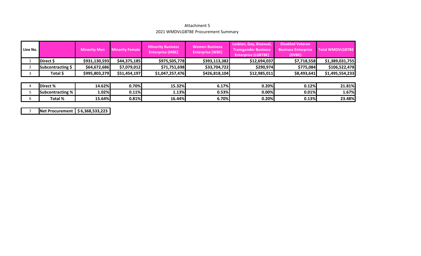#### Attachment 5 2021 WMDVLGBTBE Procurement Summary

| Line No. |                   | <b>Minority Men</b> | <b>Minority Business</b><br><b>Minority Female</b><br><b>Enterprise (MBE)</b> |                 | <b>Women Business</b><br><b>Enterprise (WBE)</b> | Lesbian, Gay, Bisexual,<br><b>Transgender Business</b><br><b>Enterprise (LGBTBE)</b> | <b>Disabled Veteran</b><br><b>Business Enterprise</b><br>(DVBE) | <b>Total WMDVLGBTBE</b> |
|----------|-------------------|---------------------|-------------------------------------------------------------------------------|-----------------|--------------------------------------------------|--------------------------------------------------------------------------------------|-----------------------------------------------------------------|-------------------------|
|          | Direct \$         | \$931,130,593       | \$44,375,185                                                                  | \$975,505,778   | \$393,113,382                                    | \$12,694,037                                                                         | \$7,718,558                                                     | \$1,389,031,755         |
|          | Subcontracting \$ | \$64,672,686        | \$7,079,012                                                                   | \$71,751,698    | \$33,704,722                                     | \$290,974                                                                            | \$775,084                                                       | \$106,522,478           |
|          | Total \$          | \$995,803,279       | \$51,454,197                                                                  | \$1,047,257,476 | \$426,818,104                                    | \$12,985,011                                                                         | \$8,493,641                                                     | \$1,495,554,233         |
|          |                   |                     |                                                                               |                 |                                                  |                                                                                      |                                                                 |                         |
|          | Direct %          | 14.62%              | 0.70%                                                                         | 15.32%          | 6.17%                                            | 0.20%                                                                                | 0.12%                                                           | 21.81%                  |
|          | Subcontracting %  | 1.02%               | 0.11%                                                                         | 1.13%           | 0.53%                                            | 0.00%                                                                                | 0.01%                                                           | 1.67%                   |
|          | Total %           | 15.64%              | 0.81%                                                                         | 16.44%          | 6.70%                                            | 0.20%                                                                                | 0.13%                                                           | 23.48%                  |

7**Net Procurement \$6,368,533,223**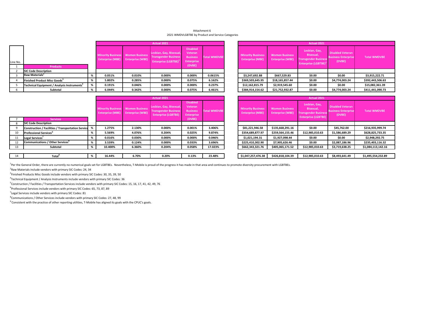#### Attachment 6 2021 WMDVLGBTBE by Product and Service Categories

|          |                                                         |   |        |                                   | Actual 2021                                                                                                          |                                                                       |                     | Actual 2021                                         |                                                  |                                                                                               |                                                                 |                     |  |
|----------|---------------------------------------------------------|---|--------|-----------------------------------|----------------------------------------------------------------------------------------------------------------------|-----------------------------------------------------------------------|---------------------|-----------------------------------------------------|--------------------------------------------------|-----------------------------------------------------------------------------------------------|-----------------------------------------------------------------|---------------------|--|
| Line No. | <b>Products</b>                                         |   |        | Enterprise (MBE) Enterprise (WBE) | Lesbian, Gay, Bisexual,<br>Minority Business Women Business Transgender Business<br>Enterprise (LGBTBE) <sup>1</sup> | <b>Disabled</b><br>Veteran<br><b>Business</b><br>Enterprise<br>(DVBE) | <b>Total WMDVBE</b> | <b>Minority Business</b><br><b>Enterprise (MBE)</b> | <b>Women Business</b><br><b>Enterprise (WBE)</b> | Lesbian, Gay,<br>Bisexual,<br><b>Transgender Business</b><br>Enterprise (LGBTBE) <sup>1</sup> | <b>Disabled Veteran</b><br><b>Business Enterprise</b><br>(DVBE) | <b>Total WMDVBE</b> |  |
|          | <b>SIC Code Description</b>                             |   |        |                                   |                                                                                                                      |                                                                       |                     |                                                     |                                                  |                                                                                               |                                                                 |                     |  |
|          | Raw Materials <sup>2</sup>                              |   | 0.051% | 0.010%                            | 0.000%                                                                                                               | 0.000%                                                                | 0.0615%             | \$3,247,692.88                                      | \$667,529.83                                     | \$0.00                                                                                        | \$0.00                                                          | \$3,915,222.71      |  |
|          | Finished Product Misc Goods <sup>3</sup>                |   | 5.802% | 0.285%                            | 0.000%                                                                                                               | 0.075%                                                                | 6.162%              | \$369,503,645.95                                    | \$18,165,857.44                                  | \$0.00                                                                                        | \$4,774,003.24                                                  | \$392,443,506.63    |  |
|          | Technical Equipment / Analysis Instruments <sup>4</sup> | % | 0.191% | 0.046%                            | 0.000%                                                                                                               | 0.000%                                                                | 0.237%              | \$12,162,815.79                                     | \$2,919,545.60                                   | \$0.00                                                                                        | \$0.00                                                          | \$15,082,361.39     |  |
|          | Subtotal                                                |   | 6.044% | 0.342%                            | 0.000%                                                                                                               | 0.075%                                                                | 6.461%              | \$384,914,154.62                                    | \$21,752,932.87                                  | \$0.00                                                                                        | \$4,774,003.24                                                  | \$411,441,090.73    |  |

|                                                   |                                                                              |                     |                                                     |                                                  | Actual 2021                                                                                   |                                                                 |  |
|---------------------------------------------------|------------------------------------------------------------------------------|---------------------|-----------------------------------------------------|--------------------------------------------------|-----------------------------------------------------------------------------------------------|-----------------------------------------------------------------|--|
| , Bisexual,<br>r Business<br>LGBTBE) <sup>1</sup> | <b>Disabled</b><br>Veteran<br><b>Business</b><br><b>Enterprise</b><br>(DVBE) | <b>Total WMDVBE</b> | <b>Minority Business</b><br><b>Enterprise (MBE)</b> | <b>Women Business</b><br><b>Enterprise (WBE)</b> | Lesbian, Gay,<br>Bisexual,<br><b>Transgender Business</b><br>Enterprise (LGBTBE) <sup>1</sup> | <b>Disabled Veteran</b><br><b>Business Enterprise</b><br>(DVBE) |  |
|                                                   |                                                                              |                     |                                                     |                                                  |                                                                                               |                                                                 |  |
| Ю%                                                | 0.000%                                                                       | 0.0615%             | \$3,247,692.88                                      | \$667,529.83                                     | \$0.00                                                                                        | \$0.00                                                          |  |
| <b>0%</b>                                         | 0.075%                                                                       | 6.162%              | \$369,503,645.95                                    | \$18,165,857.44                                  | \$0.00                                                                                        | \$4,774,003.24                                                  |  |
| <b>0%</b>                                         | 0.000%                                                                       | 0.237%              | \$12,162,815.79                                     | \$2,919,545.60                                   | \$0.00                                                                                        | \$0.00                                                          |  |
| <b>0%</b>                                         | 0.075%                                                                       | 6.461%              | \$384,914,154.62                                    | \$21,752,932.87                                  | \$0.00                                                                                        | \$4,774,003.24                                                  |  |

|    |                                                           | Actual 2021 |                                                     |                                                  |                                                                                      |                                                                    |                     | Actual 2021 |                                                     |                                                  |                                                                                         |                                                                 |                     |
|----|-----------------------------------------------------------|-------------|-----------------------------------------------------|--------------------------------------------------|--------------------------------------------------------------------------------------|--------------------------------------------------------------------|---------------------|-------------|-----------------------------------------------------|--------------------------------------------------|-----------------------------------------------------------------------------------------|-----------------------------------------------------------------|---------------------|
|    |                                                           |             | <b>Minority Business</b><br><b>Enterprise (MBE)</b> | <b>Women Business</b><br><b>Enterprise (WBE)</b> | Lesbian, Gay, Bisexual,<br><b>Transgender Business</b><br><b>Enterprise (LGBTBE)</b> | <b>Disabled</b><br>Veteran<br><b>Business</b><br><b>Enterprise</b> | <b>Total WMDVBE</b> |             | <b>Minority Business</b><br><b>Enterprise (MBE)</b> | <b>Women Business</b><br><b>Enterprise (WBE)</b> | Lesbian, Gay,<br>Bisexual,<br><b>Fransgender Business</b><br><b>Enterprise (LGBTBE)</b> | <b>Disabled Veteran</b><br><b>Business Enterprise</b><br>(DVBE) | <b>Total WMDVBE</b> |
|    | <b>Services</b><br><b>SIC Code Description</b>            |             |                                                     |                                                  |                                                                                      | (DVBE)                                                             |                     |             |                                                     |                                                  |                                                                                         |                                                                 |                     |
|    |                                                           |             |                                                     |                                                  |                                                                                      |                                                                    |                     |             |                                                     |                                                  |                                                                                         |                                                                 |                     |
|    | <b>Construction / Facilities / Transportation Service</b> |             | 1.275%                                              | 2.130%                                           | 0.000%                                                                               | 0.001%                                                             | 3.406%              |             | \$81,221,946.58                                     | \$135,668,291.16                                 | \$0.00                                                                                  | \$45,762.00                                                     | \$216,935,999.74    |
| 10 | <b>Professional Services</b>                              |             | 5.569%                                              | 4.076%                                           | 0.204%                                                                               | 0.025%                                                             | 9.874%              |             | \$354,689,877.97                                    | \$259,564,155.46                                 | \$12,985,010.63                                                                         | \$1,586,689.29                                                  | \$628,825,733.35    |
|    | Legal Services'                                           |             | 0.016%                                              | 0.030%                                           | $0.000\%$                                                                            | 0.000%                                                             | 0.046%              |             | \$1,021,194.31                                      | \$1,927,098.44                                   | \$0.00                                                                                  | \$0.00                                                          | \$2,948,292.75      |
| 12 | <b>Communications / Other Services</b> <sup>8</sup>       |             | 3.539%                                              | 0.124%                                           | $0.000\%$                                                                            | 0.033%                                                             | 3.696%              |             | \$225,410,302.90                                    | \$7,905,626.46                                   | \$0.00                                                                                  | \$2,087,186.96                                                  | \$235,403,116.32    |
| 13 | Subtotal                                                  |             | 10.400%                                             | 6.360%                                           | 0.204%                                                                               | 0.058%                                                             | 17.023%             |             | \$662,343,321.76                                    | \$405,065,171.52                                 | \$12,985,010.63                                                                         | \$3,719,638.25                                                  | \$1,084,113,142.16  |
|    |                                                           |             |                                                     |                                                  |                                                                                      |                                                                    |                     |             |                                                     |                                                  |                                                                                         |                                                                 |                     |
| 14 | Total                                                     |             | 16.44%                                              | 6.70%                                            | 0.20%                                                                                | 0.13%                                                              | 23.48%              |             | \$1,047,257,476.38                                  | \$426,818,104.39                                 | \$12,985,010.63                                                                         | \$8,493,641.49                                                  | \$1,495,554,232.89  |

|                                       |                                                                              |                     |                                                     |                                                  | Actual 2021                                                                             |                                                                 |  |
|---------------------------------------|------------------------------------------------------------------------------|---------------------|-----------------------------------------------------|--------------------------------------------------|-----------------------------------------------------------------------------------------|-----------------------------------------------------------------|--|
| , Bisexual,<br>r Business<br>(LGBTBE) | <b>Disabled</b><br>Veteran<br><b>Business</b><br><b>Enterprise</b><br>(DVBE) | <b>Total WMDVBE</b> | <b>Minority Business</b><br><b>Enterprise (MBE)</b> | <b>Women Business</b><br><b>Enterprise (WBE)</b> | Lesbian, Gay,<br>Bisexual,<br><b>Transgender Business</b><br><b>Enterprise (LGBTBE)</b> | <b>Disabled Veteran</b><br><b>Business Enterprise</b><br>(DVBE) |  |
|                                       |                                                                              |                     |                                                     |                                                  |                                                                                         |                                                                 |  |
| Ю%                                    | 0.001%                                                                       | 3.406%              | \$81,221,946.58                                     | \$135,668,291.16                                 | \$0.00                                                                                  | \$45,762.00                                                     |  |
| 14%                                   | 0.025%                                                                       | 9.874%              | \$354,689,877.97                                    | \$259,564,155.46                                 | \$12,985,010.63                                                                         | \$1,586,689.29                                                  |  |
| Ю%                                    | 0.000%                                                                       | 0.046%              | \$1,021,194.31                                      | \$1,927,098.44                                   | \$0.00                                                                                  | \$0.00                                                          |  |
| Ю%                                    | 0.033%                                                                       | 3.696%              | \$225,410,302.90                                    | \$7,905,626.46                                   | \$0.00                                                                                  | \$2,087,186.96                                                  |  |
| 14%                                   | 0.058%                                                                       | 17.023%             | \$662,343,321.76                                    | \$405,065,171.52                                 | \$12,985,010.63                                                                         | \$3,719,638.25                                                  |  |
|                                       |                                                                              |                     |                                                     |                                                  |                                                                                         |                                                                 |  |
| D%                                    | 0.13%                                                                        | 23.48%              | \$1,047,257,476.38                                  | \$426,818,104.39                                 | \$12,985,010.63                                                                         | \$8,493,641.49                                                  |  |

1Per the General Order, there are currently no numerical goals set for LGBTBEs. Nevertheless, T‐Mobile is proud of the progress it has made in that area and continues to promote diversity procurement with LGBTBEs.

 $2$ Raw Materials include vendors with primary SIC Codes: 24, 34

<sup>3</sup>Finished Products Misc Goods include vendors with primary SIC Codes: 30, 35, 39, 50

4Technical Equipment / Analysis Instruments include vendors with primary SIC Codes: 36

5Construction / Facilities / Transportation Services include vendors with primary SIC Codes: 15, 16, 17, 41, 42, 49, 76

 $6$ Professional Services include vendors with primary SIC Codes: 65, 73, 87, 89

 $1$  Legal Services include vendors with primary SIC Codes: 81

 $8$ Communications / Other Services include vendors with primary SIC Codes: 27, 48, 99

<sup>9</sup> Consistent with the practice of other reporting utilities, T-Mobile has aligned its goals with the CPUC's goals.